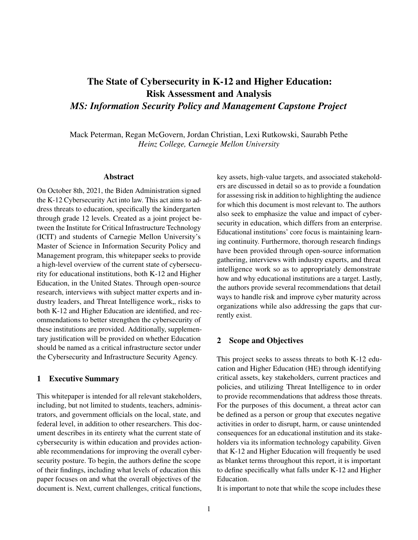# The State of Cybersecurity in K-12 and Higher Education: Risk Assessment and Analysis *MS: Information Security Policy and Management Capstone Project*

Mack Peterman, Regan McGovern, Jordan Christian, Lexi Rutkowski, Saurabh Pethe *Heinz College, Carnegie Mellon University*

#### Abstract

On October 8th, 2021, the Biden Administration signed the K-12 Cybersecurity Act into law. This act aims to address threats to education, specifically the kindergarten through grade 12 levels. Created as a joint project between the Institute for Critical Infrastructure Technology (ICIT) and students of Carnegie Mellon University's Master of Science in Information Security Policy and Management program, this whitepaper seeks to provide a high-level overview of the current state of cybersecurity for educational institutions, both K-12 and Higher Education, in the United States. Through open-source research, interviews with subject matter experts and industry leaders, and Threat Intelligence work,, risks to both K-12 and Higher Education are identified, and recommendations to better strengthen the cybersecurity of these institutions are provided. Additionally, supplementary justification will be provided on whether Education should be named as a critical infrastructure sector under the Cybersecurity and Infrastructure Security Agency.

#### 1 Executive Summary

This whitepaper is intended for all relevant stakeholders, including, but not limited to students, teachers, administrators, and government officials on the local, state, and federal level, in addition to other researchers. This document describes in its entirety what the current state of cybersecurity is within education and provides actionable recommendations for improving the overall cybersecurity posture. To begin, the authors define the scope of their findings, including what levels of education this paper focuses on and what the overall objectives of the document is. Next, current challenges, critical functions, key assets, high-value targets, and associated stakeholders are discussed in detail so as to provide a foundation for assessing risk in addition to highlighting the audience for which this document is most relevant to. The authors also seek to emphasize the value and impact of cybersecurity in education, which differs from an enterprise. Educational institutions' core focus is maintaining learning continuity. Furthermore, thorough research findings have been provided through open-source information gathering, interviews with industry experts, and threat intelligence work so as to appropriately demonstrate how and why educational institutions are a target. Lastly, the authors provide several recommendations that detail ways to handle risk and improve cyber maturity across organizations while also addressing the gaps that currently exist.

# 2 Scope and Objectives

This project seeks to assess threats to both K-12 education and Higher Education (HE) through identifying critical assets, key stakeholders, current practices and policies, and utilizing Threat Intelligence to in order to provide recommendations that address those threats. For the purposes of this document, a threat actor can be defined as a person or group that executes negative activities in order to disrupt, harm, or cause unintended consequences for an educational institution and its stakeholders via its information technology capability. Given that K-12 and Higher Education will frequently be used as blanket terms throughout this report, it is important to define specifically what falls under K-12 and Higher Education.

It is important to note that while the scope includes these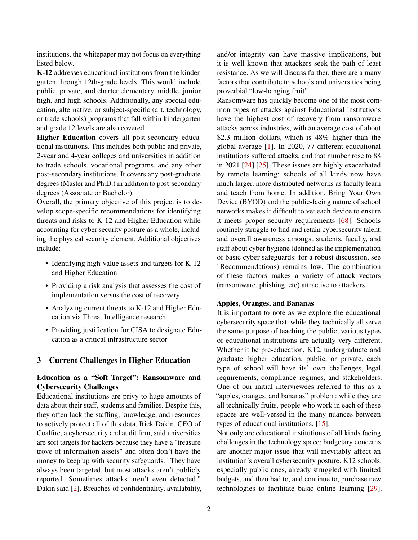institutions, the whitepaper may not focus on everything listed below.

K-12 addresses educational institutions from the kindergarten through 12th-grade levels. This would include public, private, and charter elementary, middle, junior high, and high schools. Additionally, any special education, alternative, or subject-specific (art, technology, or trade schools) programs that fall within kindergarten and grade 12 levels are also covered.

Higher Education covers all post-secondary educational institutions. This includes both public and private, 2-year and 4-year colleges and universities in addition to trade schools, vocational programs, and any other post-secondary institutions. It covers any post-graduate degrees (Master and Ph.D.) in addition to post-secondary degrees (Associate or Bachelor).

Overall, the primary objective of this project is to develop scope-specific recommendations for identifying threats and risks to K-12 and Higher Education while accounting for cyber security posture as a whole, including the physical security element. Additional objectives include:

- Identifying high-value assets and targets for K-12 and Higher Education
- Providing a risk analysis that assesses the cost of implementation versus the cost of recovery
- Analyzing current threats to K-12 and Higher Education via Threat Intelligence research
- Providing justification for CISA to designate Education as a critical infrastructure sector

# 3 Current Challenges in Higher Education

# Education as a "Soft Target": Ransomware and Cybersecurity Challenges

Educational institutions are privy to huge amounts of data about their staff, students and families. Despite this, they often lack the staffing, knowledge, and resources to actively protect all of this data. Rick Dakin, CEO of Coalfire, a cybersecurity and audit firm, said universities are soft targets for hackers because they have a "treasure trove of information assets" and often don't have the money to keep up with security safeguards. "They have always been targeted, but most attacks aren't publicly reported. Sometimes attacks aren't even detected," Dakin said [\[2\]](#page-32-0). Breaches of confidentiality, availability, and/or integrity can have massive implications, but it is well known that attackers seek the path of least resistance. As we will discuss further, there are a many factors that contribute to schools and universities being proverbial "low-hanging fruit".

Ransomware has quickly become one of the most common types of attacks against Educational institutions have the highest cost of recovery from ransomware attacks across industries, with an average cost of about \$2.3 million dollars, which is 48% higher than the global average [\[1\]](#page-32-1). In 2020, 77 different educational institutions suffered attacks, and that number rose to 88 in 2021 [\[24\]](#page-33-0) [\[25\]](#page-33-1). These issues are highly exacerbated by remote learning: schools of all kinds now have much larger, more distributed networks as faculty learn and teach from home. In addition, Bring Your Own Device (BYOD) and the public-facing nature of school networks makes it difficult to vet each device to ensure it meets proper security requirements [\[68\]](#page-35-0). Schools routinely struggle to find and retain cybersecurity talent, and overall awareness amongst students, faculty, and staff about cyber hygiene (defined as the implementation of basic cyber safeguards: for a robust discussion, see "Recommendations) remains low. The combination of these factors makes a variety of attack vectors (ransomware, phishing, etc) attractive to attackers.

#### Apples, Oranges, and Bananas

It is important to note as we explore the educational cybersecurity space that, while they technically all serve the same purpose of teaching the public, various types of educational institutions are actually very different. Whether it be pre-education, K12, undergraduate and graduate higher education, public, or private, each type of school will have its' own challenges, legal requirements, compliance regimes, and stakeholders. One of our initial interviewees referred to this as a "apples, oranges, and bananas" problem: while they are all technically fruits, people who work in each of these spaces are well-versed in the many nuances between types of educational institutions. [\[15\]](#page-32-2).

Not only are educational institutions of all kinds facing challenges in the technology space: budgetary concerns are another major issue that will inevitably affect an institution's overall cybersecurity posture. K12 schools, especially public ones, already struggled with limited budgets, and then had to, and continue to, purchase new technologies to facilitate basic online learning [\[29\]](#page-33-2).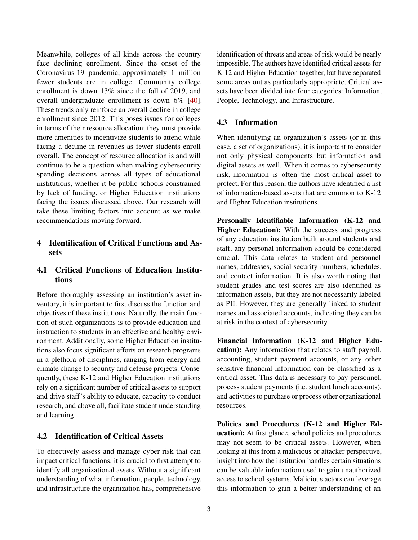Meanwhile, colleges of all kinds across the country face declining enrollment. Since the onset of the Coronavirus-19 pandemic, approximately 1 million fewer students are in college. Community college enrollment is down 13% since the fall of 2019, and overall undergraduate enrollment is down 6% [\[40\]](#page-34-0). These trends only reinforce an overall decline in college enrollment since 2012. This poses issues for colleges in terms of their resource allocation: they must provide more amenities to incentivize students to attend while facing a decline in revenues as fewer students enroll overall. The concept of resource allocation is and will continue to be a question when making cybersecurity spending decisions across all types of educational institutions, whether it be public schools constrained by lack of funding, or Higher Education institutions facing the issues discussed above. Our research will take these limiting factors into account as we make recommendations moving forward.

# 4 Identification of Critical Functions and Assets

# 4.1 Critical Functions of Education Institutions

Before thoroughly assessing an institution's asset inventory, it is important to first discuss the function and objectives of these institutions. Naturally, the main function of such organizations is to provide education and instruction to students in an effective and healthy environment. Additionally, some Higher Education institutions also focus significant efforts on research programs in a plethora of disciplines, ranging from energy and climate change to security and defense projects. Consequently, these K-12 and Higher Education institutions rely on a significant number of critical assets to support and drive staff's ability to educate, capacity to conduct research, and above all, facilitate student understanding and learning.

# 4.2 Identification of Critical Assets

To effectively assess and manage cyber risk that can impact critical functions, it is crucial to first attempt to identify all organizational assets. Without a significant understanding of what information, people, technology, and infrastructure the organization has, comprehensive

identification of threats and areas of risk would be nearly impossible. The authors have identified critical assets for K-12 and Higher Education together, but have separated some areas out as particularly appropriate. Critical assets have been divided into four categories: Information, People, Technology, and Infrastructure.

#### 4.3 Information

When identifying an organization's assets (or in this case, a set of organizations), it is important to consider not only physical components but information and digital assets as well. When it comes to cybersecurity risk, information is often the most critical asset to protect. For this reason, the authors have identified a list of information-based assets that are common to K-12 and Higher Education institutions.

Personally Identifiable Information (K-12 and Higher Education): With the success and progress of any education institution built around students and staff, any personal information should be considered crucial. This data relates to student and personnel names, addresses, social security numbers, schedules, and contact information. It is also worth noting that student grades and test scores are also identified as information assets, but they are not necessarily labeled as PII. However, they are generally linked to student names and associated accounts, indicating they can be at risk in the context of cybersecurity.

Financial Information (K-12 and Higher Education): Any information that relates to staff payroll, accounting, student payment accounts, or any other sensitive financial information can be classified as a critical asset. This data is necessary to pay personnel, process student payments (i.e. student lunch accounts), and activities to purchase or process other organizational resources.

Policies and Procedures (K-12 and Higher Education): At first glance, school policies and procedures may not seem to be critical assets. However, when looking at this from a malicious or attacker perspective, insight into how the institution handles certain situations can be valuable information used to gain unauthorized access to school systems. Malicious actors can leverage this information to gain a better understanding of an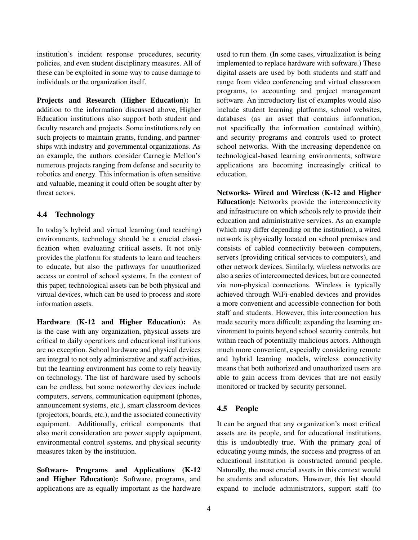institution's incident response procedures, security policies, and even student disciplinary measures. All of these can be exploited in some way to cause damage to individuals or the organization itself.

Projects and Research (Higher Education): In addition to the information discussed above, Higher Education institutions also support both student and faculty research and projects. Some institutions rely on such projects to maintain grants, funding, and partnerships with industry and governmental organizations. As an example, the authors consider Carnegie Mellon's numerous projects ranging from defense and security to robotics and energy. This information is often sensitive and valuable, meaning it could often be sought after by threat actors.

# 4.4 Technology

In today's hybrid and virtual learning (and teaching) environments, technology should be a crucial classification when evaluating critical assets. It not only provides the platform for students to learn and teachers to educate, but also the pathways for unauthorized access or control of school systems. In the context of this paper, technological assets can be both physical and virtual devices, which can be used to process and store information assets.

Hardware (K-12 and Higher Education): As is the case with any organization, physical assets are critical to daily operations and educational institutions are no exception. School hardware and physical devices are integral to not only administrative and staff activities, but the learning environment has come to rely heavily on technology. The list of hardware used by schools can be endless, but some noteworthy devices include computers, servers, communication equipment (phones, announcement systems, etc.), smart classroom devices (projectors, boards, etc.), and the associated connectivity equipment. Additionally, critical components that also merit consideration are power supply equipment, environmental control systems, and physical security measures taken by the institution.

Software- Programs and Applications (K-12 and Higher Education): Software, programs, and applications are as equally important as the hardware used to run them. (In some cases, virtualization is being implemented to replace hardware with software.) These digital assets are used by both students and staff and range from video conferencing and virtual classroom programs, to accounting and project management software. An introductory list of examples would also include student learning platforms, school websites, databases (as an asset that contains information, not specifically the information contained within), and security programs and controls used to protect school networks. With the increasing dependence on technological-based learning environments, software applications are becoming increasingly critical to education.

Networks- Wired and Wireless (K-12 and Higher Education): Networks provide the interconnectivity and infrastructure on which schools rely to provide their education and administrative services. As an example (which may differ depending on the institution), a wired network is physically located on school premises and consists of cabled connectivity between computers, servers (providing critical services to computers), and other network devices. Similarly, wireless networks are also a series of interconnected devices, but are connected via non-physical connections. Wireless is typically achieved through WiFi-enabled devices and provides a more convenient and accessible connection for both staff and students. However, this interconnection has made security more difficult; expanding the learning environment to points beyond school security controls, but within reach of potentially malicious actors. Although much more convenient, especially considering remote and hybrid learning models, wireless connectivity means that both authorized and unauthorized users are able to gain access from devices that are not easily monitored or tracked by security personnel.

#### 4.5 People

It can be argued that any organization's most critical assets are its people, and for educational institutions, this is undoubtedly true. With the primary goal of educating young minds, the success and progress of an educational institution is constructed around people. Naturally, the most crucial assets in this context would be students and educators. However, this list should expand to include administrators, support staff (to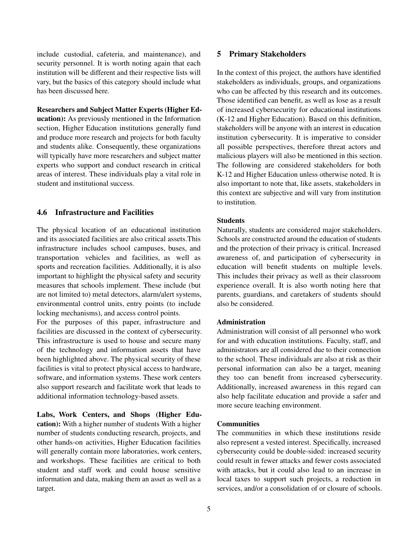include custodial, cafeteria, and maintenance), and security personnel. It is worth noting again that each institution will be different and their respective lists will vary, but the basics of this category should include what has been discussed here.

Researchers and Subject Matter Experts (Higher Education): As previously mentioned in the Information section, Higher Education institutions generally fund and produce more research and projects for both faculty and students alike. Consequently, these organizations will typically have more researchers and subject matter experts who support and conduct research in critical areas of interest. These individuals play a vital role in student and institutional success.

#### 4.6 Infrastructure and Facilities

The physical location of an educational institution and its associated facilities are also critical assets.This infrastructure includes school campuses, buses, and transportation vehicles and facilities, as well as sports and recreation facilities. Additionally, it is also important to highlight the physical safety and security measures that schools implement. These include (but are not limited to) metal detectors, alarm/alert systems, environmental control units, entry points (to include locking mechanisms), and access control points.

For the purposes of this paper, infrastructure and facilities are discussed in the context of cybersecurity. This infrastructure is used to house and secure many of the technology and information assets that have been highlighted above. The physical security of these facilities is vital to protect physical access to hardware, software, and information systems. These work centers also support research and facilitate work that leads to additional information technology-based assets.

Labs, Work Centers, and Shops (Higher Education): With a higher number of students With a higher number of students conducting research, projects, and other hands-on activities, Higher Education facilities will generally contain more laboratories, work centers, and workshops. These facilities are critical to both student and staff work and could house sensitive information and data, making them an asset as well as a target.

#### 5 Primary Stakeholders

In the context of this project, the authors have identified stakeholders as individuals, groups, and organizations who can be affected by this research and its outcomes. Those identified can benefit, as well as lose as a result of increased cybersecurity for educational institutions (K-12 and Higher Education). Based on this definition, stakeholders will be anyone with an interest in education institution cybersecurity. It is imperative to consider all possible perspectives, therefore threat actors and malicious players will also be mentioned in this section. The following are considered stakeholders for both K-12 and Higher Education unless otherwise noted. It is also important to note that, like assets, stakeholders in this context are subjective and will vary from institution to institution.

#### **Students**

Naturally, students are considered major stakeholders. Schools are constructed around the education of students and the protection of their privacy is critical. Increased awareness of, and participation of cybersecurity in education will benefit students on multiple levels. This includes their privacy as well as their classroom experience overall. It is also worth noting here that parents, guardians, and caretakers of students should also be considered.

#### Administration

Administration will consist of all personnel who work for and with education institutions. Faculty, staff, and administrators are all considered due to their connection to the school. These individuals are also at risk as their personal information can also be a target, meaning they too can benefit from increased cybersecurity. Additionally, increased awareness in this regard can also help facilitate education and provide a safer and more secure teaching environment.

## **Communities**

The communities in which these institutions reside also represent a vested interest. Specifically, increased cybersecurity could be double-sided: increased security could result in fewer attacks and fewer costs associated with attacks, but it could also lead to an increase in local taxes to support such projects, a reduction in services, and/or a consolidation of or closure of schools.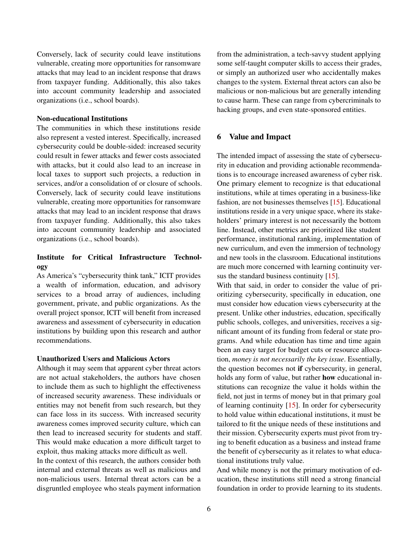Conversely, lack of security could leave institutions vulnerable, creating more opportunities for ransomware attacks that may lead to an incident response that draws from taxpayer funding. Additionally, this also takes into account community leadership and associated organizations (i.e., school boards).

#### Non-educational Institutions

The communities in which these institutions reside also represent a vested interest. Specifically, increased cybersecurity could be double-sided: increased security could result in fewer attacks and fewer costs associated with attacks, but it could also lead to an increase in local taxes to support such projects, a reduction in services, and/or a consolidation of or closure of schools. Conversely, lack of security could leave institutions vulnerable, creating more opportunities for ransomware attacks that may lead to an incident response that draws from taxpayer funding. Additionally, this also takes into account community leadership and associated organizations (i.e., school boards).

# Institute for Critical Infrastructure Technology

As America's "cybersecurity think tank," ICIT provides a wealth of information, education, and advisory services to a broad array of audiences, including government, private, and public organizations. As the overall project sponsor, ICIT will benefit from increased awareness and assessment of cybersecurity in education institutions by building upon this research and author recommendations.

#### Unauthorized Users and Malicious Actors

Although it may seem that apparent cyber threat actors are not actual stakeholders, the authors have chosen to include them as such to highlight the effectiveness of increased security awareness. These individuals or entities may not benefit from such research, but they can face loss in its success. With increased security awareness comes improved security culture, which can then lead to increased security for students and staff. This would make education a more difficult target to exploit, thus making attacks more difficult as well.

In the context of this research, the authors consider both internal and external threats as well as malicious and non-malicious users. Internal threat actors can be a disgruntled employee who steals payment information from the administration, a tech-savvy student applying some self-taught computer skills to access their grades, or simply an authorized user who accidentally makes changes to the system. External threat actors can also be malicious or non-malicious but are generally intending to cause harm. These can range from cybercriminals to hacking groups, and even state-sponsored entities.

#### 6 Value and Impact

The intended impact of assessing the state of cybersecurity in education and providing actionable recommendations is to encourage increased awareness of cyber risk. One primary element to recognize is that educational institutions, while at times operating in a business-like fashion, are not businesses themselves [\[15\]](#page-32-2). Educational institutions reside in a very unique space, where its stakeholders' primary interest is not necessarily the bottom line. Instead, other metrics are prioritized like student performance, institutional ranking, implementation of new curriculum, and even the immersion of technology and new tools in the classroom. Educational institutions are much more concerned with learning continuity ver-sus the standard business continuity [\[15\]](#page-32-2).

With that said, in order to consider the value of prioritizing cybersecurity, specifically in education, one must consider how education views cybersecurity at the present. Unlike other industries, education, specifically public schools, colleges, and universities, receives a significant amount of its funding from federal or state programs. And while education has time and time again been an easy target for budget cuts or resource allocation, *money is not necessarily the key issue*. Essentially, the question becomes not if cybersecurity, in general, holds any form of value, but rather **how** educational institutions can recognize the value it holds within the field, not just in terms of money but in that primary goal of learning continuity [\[15\]](#page-32-2). In order for cybersecurity to hold value within educational institutions, it must be tailored to fit the unique needs of these institutions and their mission. Cybersecurity experts must pivot from trying to benefit education as a business and instead frame the benefit of cybersecurity as it relates to what educational institutions truly value.

And while money is not the primary motivation of education, these institutions still need a strong financial foundation in order to provide learning to its students.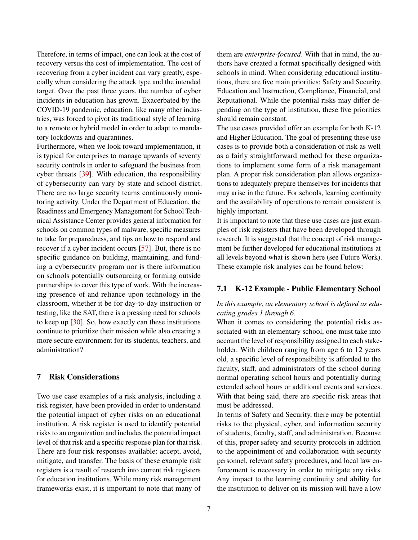Therefore, in terms of impact, one can look at the cost of recovery versus the cost of implementation. The cost of recovering from a cyber incident can vary greatly, especially when considering the attack type and the intended target. Over the past three years, the number of cyber incidents in education has grown. Exacerbated by the COVID-19 pandemic, education, like many other industries, was forced to pivot its traditional style of learning to a remote or hybrid model in order to adapt to mandatory lockdowns and quarantines.

Furthermore, when we look toward implementation, it is typical for enterprises to manage upwards of seventy security controls in order to safeguard the business from cyber threats [\[39\]](#page-33-3). With education, the responsibility of cybersecurity can vary by state and school district. There are no large security teams continuously monitoring activity. Under the Department of Education, the Readiness and Emergency Management for School Technical Assistance Center provides general information for schools on common types of malware, specific measures to take for preparedness, and tips on how to respond and recover if a cyber incident occurs [\[57\]](#page-35-1). But, there is no specific guidance on building, maintaining, and funding a cybersecurity program nor is there information on schools potentially outsourcing or forming outside partnerships to cover this type of work. With the increasing presence of and reliance upon technology in the classroom, whether it be for day-to-day instruction or testing, like the SAT, there is a pressing need for schools to keep up [\[30\]](#page-33-4). So, how exactly can these institutions continue to prioritize their mission while also creating a more secure environment for its students, teachers, and administration?

# 7 Risk Considerations

Two use case examples of a risk analysis, including a risk register, have been provided in order to understand the potential impact of cyber risks on an educational institution. A risk register is used to identify potential risks to an organization and includes the potential impact level of that risk and a specific response plan for that risk. There are four risk responses available: accept, avoid, mitigate, and transfer. The basis of these example risk registers is a result of research into current risk registers for education institutions. While many risk management frameworks exist, it is important to note that many of

them are *enterprise-focused*. With that in mind, the authors have created a format specifically designed with schools in mind. When considering educational institutions, there are five main priorities: Safety and Security, Education and Instruction, Compliance, Financial, and Reputational. While the potential risks may differ depending on the type of institution, these five priorities should remain constant.

The use cases provided offer an example for both K-12 and Higher Education. The goal of presenting these use cases is to provide both a consideration of risk as well as a fairly straightforward method for these organizations to implement some form of a risk management plan. A proper risk consideration plan allows organizations to adequately prepare themselves for incidents that may arise in the future. For schools, learning continuity and the availability of operations to remain consistent is highly important.

It is important to note that these use cases are just examples of risk registers that have been developed through research. It is suggested that the concept of risk management be further developed for educational institutions at all levels beyond what is shown here (see Future Work). These example risk analyses can be found below:

# 7.1 K-12 Example - Public Elementary School

# *In this example, an elementary school is defined as educating grades 1 through 6.*

When it comes to considering the potential risks associated with an elementary school, one must take into account the level of responsibility assigned to each stakeholder. With children ranging from age 6 to 12 years old, a specific level of responsibility is afforded to the faculty, staff, and administrators of the school during normal operating school hours and potentially during extended school hours or additional events and services. With that being said, there are specific risk areas that must be addressed.

In terms of Safety and Security, there may be potential risks to the physical, cyber, and information security of students, faculty, staff, and administration. Because of this, proper safety and security protocols in addition to the appointment of and collaboration with security personnel, relevant safety procedures, and local law enforcement is necessary in order to mitigate any risks. Any impact to the learning continuity and ability for the institution to deliver on its mission will have a low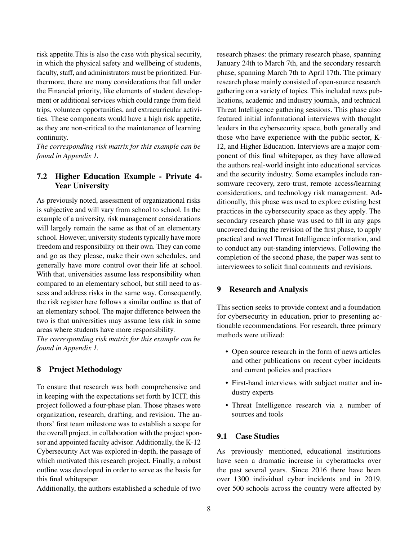risk appetite.This is also the case with physical security, in which the physical safety and wellbeing of students, faculty, staff, and administrators must be prioritized. Furthermore, there are many considerations that fall under the Financial priority, like elements of student development or additional services which could range from field trips, volunteer opportunities, and extracurricular activities. These components would have a high risk appetite, as they are non-critical to the maintenance of learning continuity.

*The corresponding risk matrix for this example can be found in Appendix 1.*

# 7.2 Higher Education Example - Private 4- Year University

As previously noted, assessment of organizational risks is subjective and will vary from school to school. In the example of a university, risk management considerations will largely remain the same as that of an elementary school. However, university students typically have more freedom and responsibility on their own. They can come and go as they please, make their own schedules, and generally have more control over their life at school. With that, universities assume less responsibility when compared to an elementary school, but still need to assess and address risks in the same way. Consequently, the risk register here follows a similar outline as that of an elementary school. The major difference between the two is that universities may assume less risk in some areas where students have more responsibility.

*The corresponding risk matrix for this example can be found in Appendix 1.*

# 8 Project Methodology

To ensure that research was both comprehensive and in keeping with the expectations set forth by ICIT, this project followed a four-phase plan. Those phases were organization, research, drafting, and revision. The authors' first team milestone was to establish a scope for the overall project, in collaboration with the project sponsor and appointed faculty advisor. Additionally, the K-12 Cybersecurity Act was explored in-depth, the passage of which motivated this research project. Finally, a robust outline was developed in order to serve as the basis for this final whitepaper.

Additionally, the authors established a schedule of two

research phases: the primary research phase, spanning January 24th to March 7th, and the secondary research phase, spanning March 7th to April 17th. The primary research phase mainly consisted of open-source research gathering on a variety of topics. This included news publications, academic and industry journals, and technical Threat Intelligence gathering sessions. This phase also featured initial informational interviews with thought leaders in the cybersecurity space, both generally and those who have experience with the public sector, K-12, and Higher Education. Interviews are a major component of this final whitepaper, as they have allowed the authors real-world insight into educational services and the security industry. Some examples include ransomware recovery, zero-trust, remote access/learning considerations, and technology risk management. Additionally, this phase was used to explore existing best practices in the cybersecurity space as they apply. The secondary research phase was used to fill in any gaps uncovered during the revision of the first phase, to apply practical and novel Threat Intelligence information, and to conduct any out-standing interviews. Following the completion of the second phase, the paper was sent to interviewees to solicit final comments and revisions.

# 9 Research and Analysis

This section seeks to provide context and a foundation for cybersecurity in education, prior to presenting actionable recommendations. For research, three primary methods were utilized:

- Open source research in the form of news articles and other publications on recent cyber incidents and current policies and practices
- First-hand interviews with subject matter and industry experts
- Threat Intelligence research via a number of sources and tools

# 9.1 Case Studies

As previously mentioned, educational institutions have seen a dramatic increase in cyberattacks over the past several years. Since 2016 there have been over 1300 individual cyber incidents and in 2019, over 500 schools across the country were affected by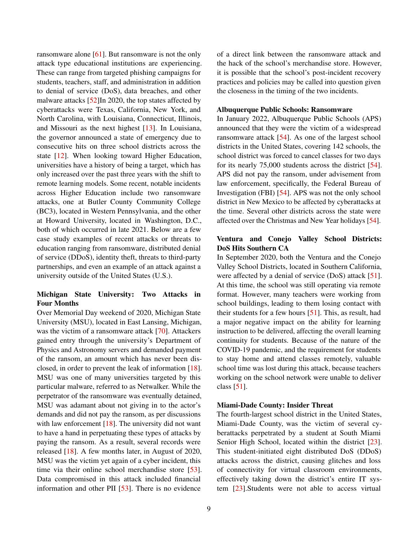ransomware alone [\[61\]](#page-35-2). But ransomware is not the only attack type educational institutions are experiencing. These can range from targeted phishing campaigns for students, teachers, staff, and administration in addition to denial of service (DoS), data breaches, and other malware attacks [\[52\]](#page-34-1)In 2020, the top states affected by cyberattacks were Texas, California, New York, and North Carolina, with Louisiana, Connecticut, Illinois, and Missouri as the next highest [\[13\]](#page-32-3). In Louisiana, the governor announced a state of emergency due to consecutive hits on three school districts across the state [\[12\]](#page-32-4). When looking toward Higher Education, universities have a history of being a target, which has only increased over the past three years with the shift to remote learning models. Some recent, notable incidents across Higher Education include two ransomware attacks, one at Butler County Community College (BC3), located in Western Pennsylvania, and the other at Howard University, located in Washington, D.C., both of which occurred in late 2021. Below are a few case study examples of recent attacks or threats to education ranging from ransomware, distributed denial of service (DDoS), identity theft, threats to third-party partnerships, and even an example of an attack against a university outside of the United States (U.S.).

# Michigan State University: Two Attacks in Four Months

Over Memorial Day weekend of 2020, Michigan State University (MSU), located in East Lansing, Michigan, was the victim of a ransomware attack [\[70\]](#page-35-3). Attackers gained entry through the university's Department of Physics and Astronomy servers and demanded payment of the ransom, an amount which has never been disclosed, in order to prevent the leak of information [\[18\]](#page-32-5). MSU was one of many universities targeted by this particular malware, referred to as Netwalker. While the perpetrator of the ransomware was eventually detained, MSU was adamant about not giving in to the actor's demands and did not pay the ransom, as per discussions with law enforcement  $[18]$ . The university did not want to have a hand in perpetuating these types of attacks by paying the ransom. As a result, several records were released [\[18\]](#page-32-5). A few months later, in August of 2020, MSU was the victim yet again of a cyber incident, this time via their online school merchandise store [\[53\]](#page-34-2). Data compromised in this attack included financial information and other PII [\[53\]](#page-34-2). There is no evidence

of a direct link between the ransomware attack and the hack of the school's merchandise store. However, it is possible that the school's post-incident recovery practices and policies may be called into question given the closeness in the timing of the two incidents.

#### Albuquerque Public Schools: Ransomware

In January 2022, Albuquerque Public Schools (APS) announced that they were the victim of a widespread ransomware attack [\[54\]](#page-34-3). As one of the largest school districts in the United States, covering 142 schools, the school district was forced to cancel classes for two days for its nearly 75,000 students across the district [\[54\]](#page-34-3). APS did not pay the ransom, under advisement from law enforcement, specifically, the Federal Bureau of Investigation (FBI) [\[54\]](#page-34-3). APS was not the only school district in New Mexico to be affected by cyberattacks at the time. Several other districts across the state were affected over the Christmas and New Year holidays [\[54\]](#page-34-3).

# Ventura and Conejo Valley School Districts: DoS Hits Southern CA

In September 2020, both the Ventura and the Conejo Valley School Districts, located in Southern California, were affected by a denial of service (DoS) attack [\[51\]](#page-34-4). At this time, the school was still operating via remote format. However, many teachers were working from school buildings, leading to them losing contact with their students for a few hours [\[51\]](#page-34-4). This, as result, had a major negative impact on the ability for learning instruction to be delivered, affecting the overall learning continuity for students. Because of the nature of the COVID-19 pandemic, and the requirement for students to stay home and attend classes remotely, valuable school time was lost during this attack, because teachers working on the school network were unable to deliver class [\[51\]](#page-34-4).

#### Miami-Dade County: Insider Threat

The fourth-largest school district in the United States, Miami-Dade County, was the victim of several cyberattacks perpetrated by a student at South Miami Senior High School, located within the district [\[23\]](#page-33-5). This student-initiated eight distributed DoS (DDoS) attacks across the district, causing glitches and loss of connectivity for virtual classroom environments, effectively taking down the district's entire IT system [\[23\]](#page-33-5).Students were not able to access virtual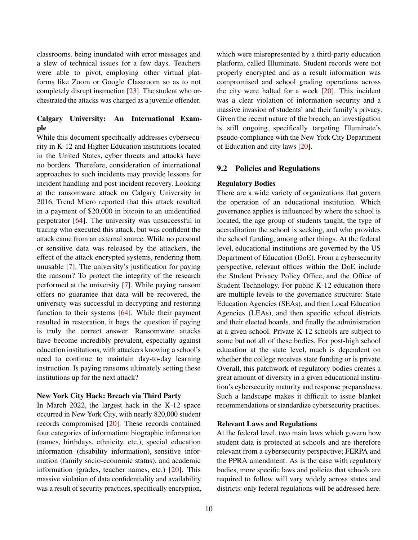classrooms, being inundated with error messages and a slew of technical issues for a few days. Teachers were able to pivot, employing other virtual platforms like Zoom or Google Classroom so as to not completely disrupt instruction [\[23\]](#page-33-5). The student who orchestrated the attacks was charged as a juvenile offender.

# Calgary University: An International Example

While this document specifically addresses cybersecurity in K-12 and Higher Education institutions located in the United States, cyber threats and attacks have no borders. Therefore, consideration of international approaches to such incidents may provide lessons for incident handling and post-incident recovery. Looking at the ransomware attack on Calgary University in 2016, Trend Micro reported that this attack resulted in a payment of \$20,000 in bitcoin to an unidentified perpetrator [\[64\]](#page-35-4). The university was unsuccessful in tracing who executed this attack, but was confident the attack came from an external source. While no personal or sensitive data was released by the attackers, the effect of the attack encrypted systems, rendering them unusable [\[7\]](#page-32-6). The university's justification for paying the ransom? To protect the integrity of the research performed at the university [\[7\]](#page-32-6). While paying ransom offers no guarantee that data will be recovered, the university was successful in decrypting and restoring function to their systems [\[64\]](#page-35-4). While their payment resulted in restoration, it begs the question if paying is truly the correct answer. Ransomware attacks have become incredibly prevalent, especially against education institutions, with attackers knowing a school's need to continue to maintain day-to-day learning instruction. Is paying ransoms ultimately setting these institutions up for the next attack?

#### New York City Hack: Breach via Third Party

In March 2022, the largest hack in the K-12 space occurred in New York City, with nearly 820,000 student records compromised [\[20\]](#page-32-7). These records contained four categories of information: biographic information (names, birthdays, ethnicity, etc.), special education information (disability information), sensitive information (family socio-economic status), and academic information (grades, teacher names, etc.) [\[20\]](#page-32-7). This massive violation of data confidentiality and availability was a result of security practices, specifically encryption, which were misrepresented by a third-party education platform, called Illuminate. Student records were not properly encrypted and as a result information was compromised and school grading operations across the city were halted for a week [\[20\]](#page-32-7). This incident was a clear violation of information security and a massive invasion of students' and their family's privacy. Given the recent nature of the breach, an investigation is still ongoing, specifically targeting Illuminate's pseudo-compliance with the New York City Department of Education and city laws [\[20\]](#page-32-7).

# 9.2 Policies and Regulations

#### Regulatory Bodies

There are a wide variety of organizations that govern the operation of an educational institution. Which governance applies is influenced by where the school is located, the age group of students taught, the type of accreditation the school is seeking, and who provides the school funding, among other things. At the federal level, educational institutions are governed by the US Department of Education (DoE). From a cybersecurity perspective, relevant offices within the DoE include the Student Privacy Policy Office, and the Office of Student Technology. For public K-12 education there are multiple levels to the governance structure: State Education Agencies (SEAs), and then Local Education Agencies (LEAs), and then specific school districts and their elected boards, and finally the administration at a given school. Private K-12 schools are subject to some but not all of these bodies. For post-high school education at the state level, much is dependent on whether the college receives state funding or is private. Overall, this patchwork of regulatory bodies creates a great amount of diversity in a given educational institution's cybersecurity maturity and response preparedness. Such a landscape makes it difficult to issue blanket recommendations or standardize cybersecurity practices.

#### Relevant Laws and Regulations

At the federal level, two main laws which govern how student data is protected at schools and are therefore relevant from a cybersecurity perspective; FERPA and the PPRA amendment. As is the case with regulatory bodies, more specific laws and policies that schools are required to follow will vary widely across states and districts: only federal regulations will be addressed here.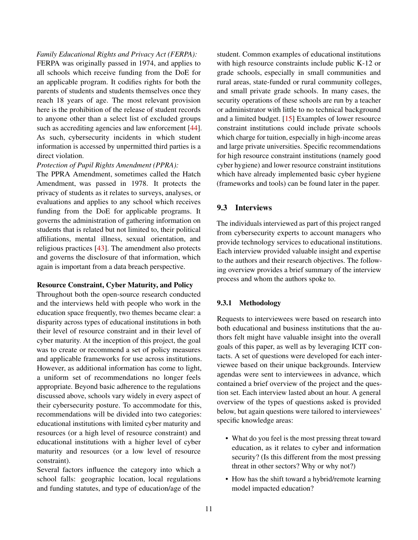*Family Educational Rights and Privacy Act (FERPA):*

FERPA was originally passed in 1974, and applies to all schools which receive funding from the DoE for an applicable program. It codifies rights for both the parents of students and students themselves once they reach 18 years of age. The most relevant provision here is the prohibition of the release of student records to anyone other than a select list of excluded groups such as accrediting agencies and law enforcement [\[44\]](#page-34-5). As such, cybersecurity incidents in which student information is accessed by unpermitted third parties is a direct violation.

#### *Protection of Pupil Rights Amendment (PPRA):*

The PPRA Amendment, sometimes called the Hatch Amendment, was passed in 1978. It protects the privacy of students as it relates to surveys, analyses, or evaluations and applies to any school which receives funding from the DoE for applicable programs. It governs the administration of gathering information on students that is related but not limited to, their political affiliations, mental illness, sexual orientation, and religious practices [\[43\]](#page-34-6). The amendment also protects and governs the disclosure of that information, which again is important from a data breach perspective.

#### Resource Constraint, Cyber Maturity, and Policy

Throughout both the open-source research conducted and the interviews held with people who work in the education space frequently, two themes became clear: a disparity across types of educational institutions in both their level of resource constraint and in their level of cyber maturity. At the inception of this project, the goal was to create or recommend a set of policy measures and applicable frameworks for use across institutions. However, as additional information has come to light, a uniform set of recommendations no longer feels appropriate. Beyond basic adherence to the regulations discussed above, schools vary widely in every aspect of their cybersecurity posture. To accommodate for this, recommendations will be divided into two categories: educational institutions with limited cyber maturity and resources (or a high level of resource constraint) and educational institutions with a higher level of cyber maturity and resources (or a low level of resource constraint).

Several factors influence the category into which a school falls: geographic location, local regulations and funding statutes, and type of education/age of the

student. Common examples of educational institutions with high resource constraints include public K-12 or grade schools, especially in small communities and rural areas, state-funded or rural community colleges, and small private grade schools. In many cases, the security operations of these schools are run by a teacher or administrator with little to no technical background and a limited budget. [\[15\]](#page-32-2) Examples of lower resource constraint institutions could include private schools which charge for tuition, especially in high-income areas and large private universities. Specific recommendations for high resource constraint institutions (namely good cyber hygiene) and lower resource constraint institutions which have already implemented basic cyber hygiene (frameworks and tools) can be found later in the paper.

# 9.3 Interviews

The individuals interviewed as part of this project ranged from cybersecurity experts to account managers who provide technology services to educational institutions. Each interview provided valuable insight and expertise to the authors and their research objectives. The following overview provides a brief summary of the interview process and whom the authors spoke to.

#### 9.3.1 Methodology

Requests to interviewees were based on research into both educational and business institutions that the authors felt might have valuable insight into the overall goals of this paper, as well as by leveraging ICIT contacts. A set of questions were developed for each interviewee based on their unique backgrounds. Interview agendas were sent to interviewees in advance, which contained a brief overview of the project and the question set. Each interview lasted about an hour. A general overview of the types of questions asked is provided below, but again questions were tailored to interviewees' specific knowledge areas:

- What do you feel is the most pressing threat toward education, as it relates to cyber and information security? (Is this different from the most pressing threat in other sectors? Why or why not?)
- How has the shift toward a hybrid/remote learning model impacted education?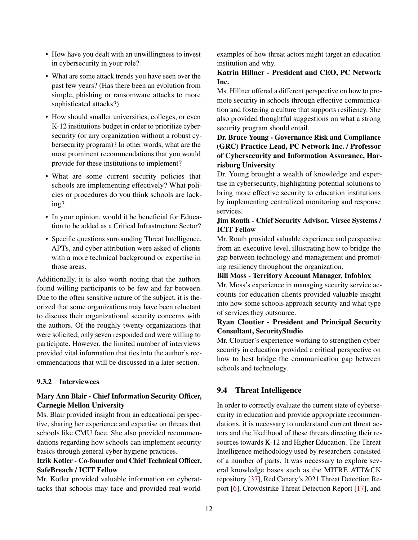- How have you dealt with an unwillingness to invest in cybersecurity in your role?
- What are some attack trends you have seen over the past few years? (Has there been an evolution from simple, phishing or ransomware attacks to more sophisticated attacks?)
- How should smaller universities, colleges, or even K-12 institutions budget in order to prioritize cybersecurity (or any organization without a robust cybersecurity program)? In other words, what are the most prominent recommendations that you would provide for these institutions to implement?
- What are some current security policies that schools are implementing effectively? What policies or procedures do you think schools are lacking?
- In your opinion, would it be beneficial for Education to be added as a Critical Infrastructure Sector?
- Specific questions surrounding Threat Intelligence, APTs, and cyber attribution were asked of clients with a more technical background or expertise in those areas.

Additionally, it is also worth noting that the authors found willing participants to be few and far between. Due to the often sensitive nature of the subject, it is theorized that some organizations may have been reluctant to discuss their organizational security concerns with the authors. Of the roughly twenty organizations that were solicited, only seven responded and were willing to participate. However, the limited number of interviews provided vital information that ties into the author's recommendations that will be discussed in a later section.

#### 9.3.2 Interviewees

# Mary Ann Blair - Chief Information Security Officer, Carnegie Mellon University

Ms. Blair provided insight from an educational perspective, sharing her experience and expertise on threats that schools like CMU face. She also provided recommendations regarding how schools can implement security basics through general cyber hygiene practices.

# Itzik Kotler - Co-founder and Chief Technical Officer, SafeBreach / ICIT Fellow

Mr. Kotler provided valuable information on cyberattacks that schools may face and provided real-world

examples of how threat actors might target an education institution and why.

# Katrin Hillner - President and CEO, PC Network Inc.

Ms. Hillner offered a different perspective on how to promote security in schools through effective communication and fostering a culture that supports resiliency. She also provided thoughtful suggestions on what a strong security program should entail.

# Dr. Bruce Young - Governance Risk and Compliance (GRC) Practice Lead, PC Network Inc. / Professor of Cybersecurity and Information Assurance, Harrisburg University

Dr. Young brought a wealth of knowledge and expertise in cybersecurity, highlighting potential solutions to bring more effective security to education institutions by implementing centralized monitoring and response services.

# Jim Routh - Chief Security Advisor, Virsec Systems / ICIT Fellow

Mr. Routh provided valuable experience and perspective from an executive level, illustrating how to bridge the gap between technology and management and promoting resiliency throughout the organization.

# Bill Moss - Territory Account Manager, Infoblox

Mr. Moss's experience in managing security service accounts for education clients provided valuable insight into how some schools approach security and what type of services they outsource.

# Ryan Cloutier - President and Principal Security Consultant, SecurityStudio

Mr. Cloutier's experience working to strengthen cybersecurity in education provided a critical perspective on how to best bridge the communication gap between schools and technology.

# 9.4 Threat Intelligence

In order to correctly evaluate the current state of cybersecurity in education and provide appropriate recommendations, it is necessary to understand current threat actors and the likelihood of these threats directing their resources towards K-12 and Higher Education. The Threat Intelligence methodology used by researchers consisted of a number of parts. It was necessary to explore several knowledge bases such as the MITRE ATT&CK repository [\[37\]](#page-33-6), Red Canary's 2021 Threat Detection Report [\[6\]](#page-32-8), Crowdstrike Threat Detection Report [\[17\]](#page-32-9), and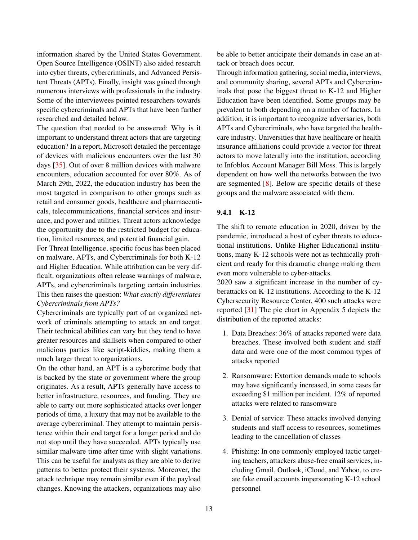information shared by the United States Government. Open Source Intelligence (OSINT) also aided research into cyber threats, cybercriminals, and Advanced Persistent Threats (APTs). Finally, insight was gained through numerous interviews with professionals in the industry. Some of the interviewees pointed researchers towards specific cybercriminals and APTs that have been further researched and detailed below.

The question that needed to be answered: Why is it important to understand threat actors that are targeting education? In a report, Microsoft detailed the percentage of devices with malicious encounters over the last 30 days [\[35\]](#page-33-7). Out of over 8 million devices with malware encounters, education accounted for over 80%. As of March 29th, 2022, the education industry has been the most targeted in comparison to other groups such as retail and consumer goods, healthcare and pharmaceuticals, telecommunications, financial services and insurance, and power and utilities. Threat actors acknowledge the opportunity due to the restricted budget for education, limited resources, and potential financial gain.

For Threat Intelligence, specific focus has been placed on malware, APTs, and Cybercriminals for both K-12 and Higher Education. While attribution can be very difficult, organizations often release warnings of malware, APTs, and cybercriminals targeting certain industries. This then raises the question: *What exactly differentiates Cybercriminals from APTs?*

Cybercriminals are typically part of an organized network of criminals attempting to attack an end target. Their technical abilities can vary but they tend to have greater resources and skillsets when compared to other malicious parties like script-kiddies, making them a much larger threat to organizations.

On the other hand, an APT is a cybercrime body that is backed by the state or government where the group originates. As a result, APTs generally have access to better infrastructure, resources, and funding. They are able to carry out more sophisticated attacks over longer periods of time, a luxury that may not be available to the average cybercriminal. They attempt to maintain persistence within their end target for a longer period and do not stop until they have succeeded. APTs typically use similar malware time after time with slight variations. This can be useful for analysts as they are able to derive patterns to better protect their systems. Moreover, the attack technique may remain similar even if the payload changes. Knowing the attackers, organizations may also

be able to better anticipate their demands in case an attack or breach does occur.

Through information gathering, social media, interviews, and community sharing, several APTs and Cybercriminals that pose the biggest threat to K-12 and Higher Education have been identified. Some groups may be prevalent to both depending on a number of factors. In addition, it is important to recognize adversaries, both APTs and Cybercriminals, who have targeted the healthcare industry. Universities that have healthcare or health insurance affiliations could provide a vector for threat actors to move laterally into the institution, according to Infoblox Account Manager Bill Moss. This is largely dependent on how well the networks between the two are segmented [\[8\]](#page-32-10). Below are specific details of these groups and the malware associated with them.

#### 9.4.1 K-12

The shift to remote education in 2020, driven by the pandemic, introduced a host of cyber threats to educational institutions. Unlike Higher Educational institutions, many K-12 schools were not as technically proficient and ready for this dramatic change making them even more vulnerable to cyber-attacks.

2020 saw a significant increase in the number of cyberattacks on K-12 institutions. According to the K-12 Cybersecurity Resource Center, 400 such attacks were reported [\[31\]](#page-33-8) The pie chart in Appendix 5 depicts the distribution of the reported attacks:

- 1. Data Breaches: 36% of attacks reported were data breaches. These involved both student and staff data and were one of the most common types of attacks reported
- 2. Ransomware: Extortion demands made to schools may have significantly increased, in some cases far exceeding \$1 million per incident. 12% of reported attacks were related to ransomware
- 3. Denial of service: These attacks involved denying students and staff access to resources, sometimes leading to the cancellation of classes
- 4. Phishing: In one commonly employed tactic targeting teachers, attackers abuse-free email services, including Gmail, Outlook, iCloud, and Yahoo, to create fake email accounts impersonating K-12 school personnel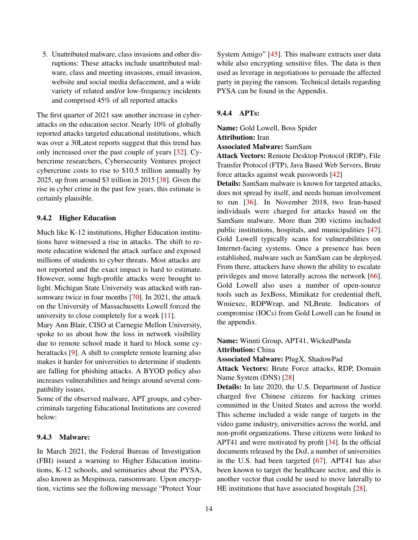5. Unattributed malware, class invasions and other disruptions: These attacks include unattributed malware, class and meeting invasions, email invasion, website and social media defacement, and a wide variety of related and/or low-frequency incidents and comprised 45% of all reported attacks

The first quarter of 2021 saw another increase in cyberattacks on the education sector. Nearly 10% of globally reported attacks targeted educational institutions, which was over a 30Latest reports suggest that this trend has only increased over the past couple of years [\[32\]](#page-33-9). Cybercrime researchers, Cybersecurity Ventures project cybercrime costs to rise to \$10.5 trillion annually by 2025, up from around \$3 trillion in 2015 [\[38\]](#page-33-10). Given the rise in cyber crime in the past few years, this estimate is certainly plausible.

#### 9.4.2 Higher Education

Much like K-12 institutions, Higher Education institutions have witnessed a rise in attacks. The shift to remote education widened the attack surface and exposed millions of students to cyber threats. Most attacks are not reported and the exact impact is hard to estimate. However, some high-profile attacks were brought to light. Michigan State University was attacked with ransomware twice in four months [\[70\]](#page-35-3). In 2021, the attack on the University of Massachusetts Lowell forced the university to close completely for a week [\[11\]](#page-32-11).

Mary Ann Blair, CISO at Carnegie Mellon University, spoke to us about how the loss in network visibility due to remote school made it hard to block some cyberattacks [\[9\]](#page-32-12). A shift to complete remote learning also makes it harder for universities to determine if students are falling for phishing attacks. A BYOD policy also increases vulnerabilities and brings around several compatibility issues.

Some of the observed malware, APT groups, and cybercriminals targeting Educational Institutions are covered below:

#### 9.4.3 Malware:

In March 2021, the Federal Bureau of Investigation (FBI) issued a warning to Higher Education institutions, K-12 schools, and seminaries about the PYSA, also known as Mespinoza, ransomware. Upon encryption, victims see the following message "Protect Your

System Amigo" [\[45\]](#page-34-7). This malware extracts user data while also encrypting sensitive files. The data is then used as leverage in negotiations to persuade the affected party in paying the ransom. Technical details regarding PYSA can be found in the Appendix.

# 9.4.4 APTs:

Name: Gold Lowell, Boss Spider

#### Attribution: Iran

#### Associated Malware: SamSam

Attack Vectors: Remote Desktop Protocol (RDP), File Transfer Protocol (FTP), Java Based Web Servers, Brute force attacks against weak passwords [\[42\]](#page-34-8)

Details: SamSam malware is known for targeted attacks, does not spread by itself, and needs human involvement to run [\[36\]](#page-33-11). In November 2018, two Iran-based individuals were charged for attacks based on the SamSam malware. More than 200 victims included public institutions, hospitals, and municipalities [\[47\]](#page-34-9). Gold Lowell typically scans for vulnerabilities on Internet-facing systems. Once a presence has been established, malware such as SamSam can be deployed. From there, attackers have shown the ability to escalate privileges and move laterally across the network [\[66\]](#page-35-5). Gold Lowell also uses a number of open-source tools such as JexBoss, Mimikatz for credential theft, Wmiexec, RDPWrap, and NLBrute. Indicators of compromise (IOCs) from Gold Lowell can be found in the appendix.

Name: Winnti Group, APT41, WickedPanda Attribution: China

Associated Malware: PlugX, ShadowPad

Attack Vectors: Brute Force attacks, RDP, Domain Name System (DNS) [\[28\]](#page-33-12)

Details: In late 2020, the U.S. Department of Justice charged five Chinese citizens for hacking crimes committed in the United States and across the world. This scheme included a wide range of targets in the video game industry, universities across the world, and non-profit organizations. These citizens were linked to APT41 and were motivated by profit [\[34\]](#page-33-13). In the official documents released by the DoJ, a number of universities in the U.S. had been targeted [\[67\]](#page-35-6). APT41 has also been known to target the healthcare sector, and this is another vector that could be used to move laterally to HE institutions that have associated hospitals [\[28\]](#page-33-12).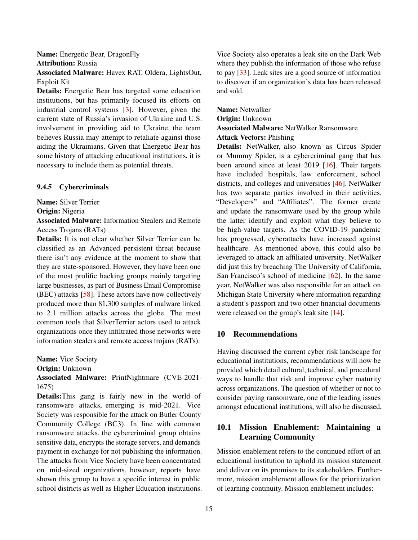Name: Energetic Bear, DragonFly Attribution: Russia

Associated Malware: Havex RAT, Oldera, LightsOut, Exploit Kit

Details: Energetic Bear has targeted some education institutions, but has primarily focused its efforts on industrial control systems [\[3\]](#page-32-13). However, given the current state of Russia's invasion of Ukraine and U.S. involvement in providing aid to Ukraine, the team believes Russia may attempt to retaliate against those aiding the Ukrainians. Given that Energetic Bear has some history of attacking educational institutions, it is necessary to include them as potential threats.

#### 9.4.5 Cybercriminals

Name: Silver Terrier

Origin: Nigeria

Associated Malware: Information Stealers and Remote Access Trojans (RATs)

Details: It is not clear whether Silver Terrier can be classified as an Advanced persistent threat because there isn't any evidence at the moment to show that they are state-sponsored. However, they have been one of the most prolific hacking groups mainly targeting large businesses, as part of Business Email Compromise (BEC) attacks [\[58\]](#page-35-7). These actors have now collectively produced more than 81,300 samples of malware linked to 2.1 million attacks across the globe. The most common tools that SilverTerrier actors used to attack organizations once they infiltrated those networks were information stealers and remote access trojans (RATs).

Name: Vice Society

Origin: Unknown

Associated Malware: PrintNightmare (CVE-2021- 1675)

Details:This gang is fairly new in the world of ransomware attacks, emerging is mid-2021. Vice Society was responsible for the attack on Butler County Community College (BC3). In line with common ransomware attacks, the cybercriminal group obtains sensitive data, encrypts the storage servers, and demands payment in exchange for not publishing the information. The attacks from Vice Society have been concentrated on mid-sized organizations, however, reports have shown this group to have a specific interest in public school districts as well as Higher Education institutions.

Vice Society also operates a leak site on the Dark Web where they publish the information of those who refuse to pay [\[33\]](#page-33-14). Leak sites are a good source of information to discover if an organization's data has been released and sold.

Name: Netwalker

Origin: Unknown

Associated Malware: NetWalker Ransomware

#### Attack Vectors: Phishing

Details: NetWalker, also known as Circus Spider or Mummy Spider, is a cybercriminal gang that has been around since at least 2019 [\[16\]](#page-32-14). Their targets have included hospitals, law enforcement, school districts, and colleges and universities [\[46\]](#page-34-10). NetWalker has two separate parties involved in their activities, "Developers" and "Affiliates". The former create and update the ransomware used by the group while the latter identify and exploit what they believe to be high-value targets. As the COVID-19 pandemic has progressed, cyberattacks have increased against healthcare. As mentioned above, this could also be leveraged to attack an affiliated university. NetWalker did just this by breaching The University of California, San Francisco's school of medicine [\[62\]](#page-35-8). In the same year, NetWalker was also responsible for an attack on Michigan State University where information regarding a student's passport and two other financial documents were released on the group's leak site [\[14\]](#page-32-15).

# 10 Recommendations

Having discussed the current cyber risk landscape for educational institutions, recommendations will now be provided which detail cultural, technical, and procedural ways to handle that risk and improve cyber maturity across organizations. The question of whether or not to consider paying ransomware, one of the leading issues amongst educational institutions, will also be discussed,

# 10.1 Mission Enablement: Maintaining a Learning Community

Mission enablement refers to the continued effort of an educational institution to uphold its mission statement and deliver on its promises to its stakeholders. Furthermore, mission enablement allows for the prioritization of learning continuity. Mission enablement includes: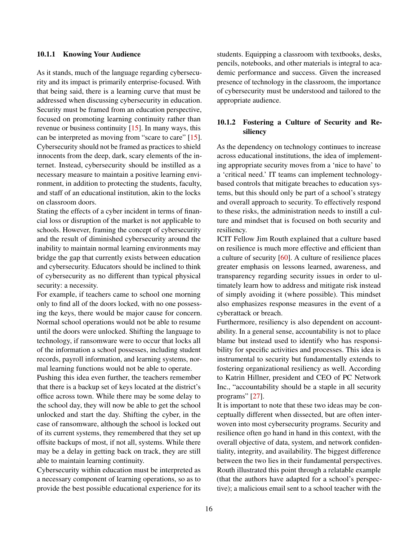#### 10.1.1 Knowing Your Audience

As it stands, much of the language regarding cybersecurity and its impact is primarily enterprise-focused. With that being said, there is a learning curve that must be addressed when discussing cybersecurity in education. Security must be framed from an education perspective, focused on promoting learning continuity rather than revenue or business continuity [\[15\]](#page-32-2). In many ways, this can be interpreted as moving from "scare to care" [\[15\]](#page-32-2). Cybersecurity should not be framed as practices to shield innocents from the deep, dark, scary elements of the internet. Instead, cybersecurity should be instilled as a necessary measure to maintain a positive learning environment, in addition to protecting the students, faculty, and staff of an educational institution, akin to the locks on classroom doors.

Stating the effects of a cyber incident in terms of financial loss or disruption of the market is not applicable to schools. However, framing the concept of cybersecurity and the result of diminished cybersecurity around the inability to maintain normal learning environments may bridge the gap that currently exists between education and cybersecurity. Educators should be inclined to think of cybersecurity as no different than typical physical security: a necessity.

For example, if teachers came to school one morning only to find all of the doors locked, with no one possessing the keys, there would be major cause for concern. Normal school operations would not be able to resume until the doors were unlocked. Shifting the language to technology, if ransomware were to occur that locks all of the information a school possesses, including student records, payroll information, and learning systems, normal learning functions would not be able to operate.

Pushing this idea even further, the teachers remember that there is a backup set of keys located at the district's office across town. While there may be some delay to the school day, they will now be able to get the school unlocked and start the day. Shifting the cyber, in the case of ransomware, although the school is locked out of its current systems, they remembered that they set up offsite backups of most, if not all, systems. While there may be a delay in getting back on track, they are still able to maintain learning continuity.

Cybersecurity within education must be interpreted as a necessary component of learning operations, so as to provide the best possible educational experience for its

students. Equipping a classroom with textbooks, desks, pencils, notebooks, and other materials is integral to academic performance and success. Given the increased presence of technology in the classroom, the importance of cybersecurity must be understood and tailored to the appropriate audience.

# 10.1.2 Fostering a Culture of Security and Resiliency

As the dependency on technology continues to increase across educational institutions, the idea of implementing appropriate security moves from a 'nice to have' to a 'critical need.' IT teams can implement technologybased controls that mitigate breaches to education systems, but this should only be part of a school's strategy and overall approach to security. To effectively respond to these risks, the administration needs to instill a culture and mindset that is focused on both security and resiliency.

ICIT Fellow Jim Routh explained that a culture based on resilience is much more effective and efficient than a culture of security [\[60\]](#page-35-9). A culture of resilience places greater emphasis on lessons learned, awareness, and transparency regarding security issues in order to ultimately learn how to address and mitigate risk instead of simply avoiding it (where possible). This mindset also emphasizes response measures in the event of a cyberattack or breach.

Furthermore, resiliency is also dependent on accountability. In a general sense, accountability is not to place blame but instead used to identify who has responsibility for specific activities and processes. This idea is instrumental to security but fundamentally extends to fostering organizational resiliency as well. According to Katrin Hillner, president and CEO of PC Network Inc., "accountability should be a staple in all security programs" [\[27\]](#page-33-15).

It is important to note that these two ideas may be conceptually different when dissected, but are often interwoven into most cybersecurity programs. Security and resilience often go hand in hand in this context, with the overall objective of data, system, and network confidentiality, integrity, and availability. The biggest difference between the two lies in their fundamental perspectives. Routh illustrated this point through a relatable example (that the authors have adapted for a school's perspective); a malicious email sent to a school teacher with the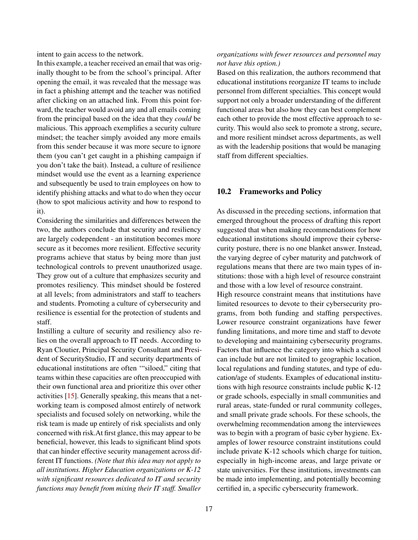intent to gain access to the network.

In this example, a teacher received an email that was originally thought to be from the school's principal. After opening the email, it was revealed that the message was in fact a phishing attempt and the teacher was notified after clicking on an attached link. From this point forward, the teacher would avoid any and all emails coming from the principal based on the idea that they *could* be malicious. This approach exemplifies a security culture mindset; the teacher simply avoided any more emails from this sender because it was more secure to ignore them (you can't get caught in a phishing campaign if you don't take the bait). Instead, a culture of resilience mindset would use the event as a learning experience and subsequently be used to train employees on how to identify phishing attacks and what to do when they occur (how to spot malicious activity and how to respond to it).

Considering the similarities and differences between the two, the authors conclude that security and resiliency are largely codependent - an institution becomes more secure as it becomes more resilient. Effective security programs achieve that status by being more than just technological controls to prevent unauthorized usage. They grow out of a culture that emphasizes security and promotes resiliency. This mindset should be fostered at all levels; from administrators and staff to teachers and students. Promoting a culture of cybersecurity and resilience is essential for the protection of students and staff.

Instilling a culture of security and resiliency also relies on the overall approach to IT needs. According to Ryan Cloutier, Principal Security Consultant and President of SecurityStudio, IT and security departments of educational institutions are often '"siloed," citing that teams within these capacities are often preoccupied with their own functional area and prioritize this over other activities [\[15\]](#page-32-2). Generally speaking, this means that a networking team is composed almost entirely of network specialists and focused solely on networking, while the risk team is made up entirely of risk specialists and only concerned with risk.At first glance, this may appear to be beneficial, however, this leads to significant blind spots that can hinder effective security management across different IT functions. *(Note that this idea may not apply to all institutions. Higher Education organizations or K-12 with significant resources dedicated to IT and security functions may benefit from mixing their IT staff. Smaller*

# *organizations with fewer resources and personnel may not have this option.)*

Based on this realization, the authors recommend that educational institutions reorganize IT teams to include personnel from different specialties. This concept would support not only a broader understanding of the different functional areas but also how they can best complement each other to provide the most effective approach to security. This would also seek to promote a strong, secure, and more resilient mindset across departments, as well as with the leadership positions that would be managing staff from different specialties.

# 10.2 Frameworks and Policy

As discussed in the preceding sections, information that emerged throughout the process of drafting this report suggested that when making recommendations for how educational institutions should improve their cybersecurity posture, there is no one blanket answer. Instead, the varying degree of cyber maturity and patchwork of regulations means that there are two main types of institutions: those with a high level of resource constraint and those with a low level of resource constraint.

High resource constraint means that institutions have limited resources to devote to their cybersecurity programs, from both funding and staffing perspectives. Lower resource constraint organizations have fewer funding limitations, and more time and staff to devote to developing and maintaining cybersecurity programs. Factors that influence the category into which a school can include but are not limited to geographic location, local regulations and funding statutes, and type of education/age of students. Examples of educational institutions with high resource constraints include public K-12 or grade schools, especially in small communities and rural areas, state-funded or rural community colleges, and small private grade schools. For these schools, the overwhelming recommendation among the interviewees was to begin with a program of basic cyber hygiene. Examples of lower resource constraint institutions could include private K-12 schools which charge for tuition, especially in high-income areas, and large private or state universities. For these institutions, investments can be made into implementing, and potentially becoming certified in, a specific cybersecurity framework.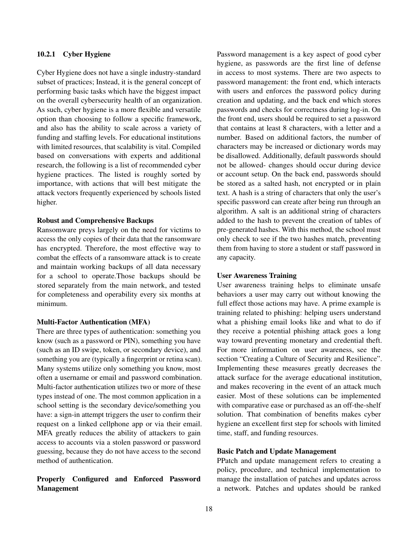# 10.2.1 Cyber Hygiene

Cyber Hygiene does not have a single industry-standard subset of practices; Instead, it is the general concept of performing basic tasks which have the biggest impact on the overall cybersecurity health of an organization. As such, cyber hygiene is a more flexible and versatile option than choosing to follow a specific framework, and also has the ability to scale across a variety of funding and staffing levels. For educational institutions with limited resources, that scalability is vital. Compiled based on conversations with experts and additional research, the following is a list of recommended cyber hygiene practices. The listed is roughly sorted by importance, with actions that will best mitigate the attack vectors frequently experienced by schools listed higher.

#### Robust and Comprehensive Backups

Ransomware preys largely on the need for victims to access the only copies of their data that the ransomware has encrypted. Therefore, the most effective way to combat the effects of a ransomware attack is to create and maintain working backups of all data necessary for a school to operate.Those backups should be stored separately from the main network, and tested for completeness and operability every six months at minimum.

#### Multi-Factor Authentication (MFA)

There are three types of authentication: something you know (such as a password or PIN), something you have (such as an ID swipe, token, or secondary device), and something you are (typically a fingerprint or retina scan). Many systems utilize only something you know, most often a username or email and password combination. Multi-factor authentication utilizes two or more of these types instead of one. The most common application in a school setting is the secondary device/something you have: a sign-in attempt triggers the user to confirm their request on a linked cellphone app or via their email. MFA greatly reduces the ability of attackers to gain access to accounts via a stolen password or password guessing, because they do not have access to the second method of authentication.

# Properly Configured and Enforced Password Management

Password management is a key aspect of good cyber hygiene, as passwords are the first line of defense in access to most systems. There are two aspects to password management: the front end, which interacts with users and enforces the password policy during creation and updating, and the back end which stores passwords and checks for correctness during log-in. On the front end, users should be required to set a password that contains at least 8 characters, with a letter and a number. Based on additional factors, the number of characters may be increased or dictionary words may be disallowed. Additionally, default passwords should not be allowed- changes should occur during device or account setup. On the back end, passwords should be stored as a salted hash, not encrypted or in plain text. A hash is a string of characters that only the user's specific password can create after being run through an algorithm. A salt is an additional string of characters added to the hash to prevent the creation of tables of pre-generated hashes. With this method, the school must only check to see if the two hashes match, preventing them from having to store a student or staff password in any capacity.

#### User Awareness Training

User awareness training helps to eliminate unsafe behaviors a user may carry out without knowing the full effect those actions may have. A prime example is training related to phishing: helping users understand what a phishing email looks like and what to do if they receive a potential phishing attack goes a long way toward preventing monetary and credential theft. For more information on user awareness, see the section "Creating a Culture of Security and Resilience". Implementing these measures greatly decreases the attack surface for the average educational institution, and makes recovering in the event of an attack much easier. Most of these solutions can be implemented with comparative ease or purchased as an off-the-shelf solution. That combination of benefits makes cyber hygiene an excellent first step for schools with limited time, staff, and funding resources.

#### Basic Patch and Update Management

PPatch and update management refers to creating a policy, procedure, and technical implementation to manage the installation of patches and updates across a network. Patches and updates should be ranked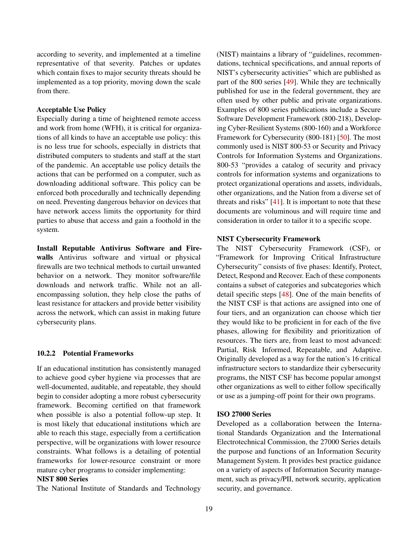according to severity, and implemented at a timeline representative of that severity. Patches or updates which contain fixes to major security threats should be implemented as a top priority, moving down the scale from there.

#### Acceptable Use Policy

Especially during a time of heightened remote access and work from home (WFH), it is critical for organizations of all kinds to have an acceptable use policy: this is no less true for schools, especially in districts that distributed computers to students and staff at the start of the pandemic. An acceptable use policy details the actions that can be performed on a computer, such as downloading additional software. This policy can be enforced both procedurally and technically depending on need. Preventing dangerous behavior on devices that have network access limits the opportunity for third parties to abuse that access and gain a foothold in the system.

Install Reputable Antivirus Software and Firewalls Antivirus software and virtual or physical firewalls are two technical methods to curtail unwanted behavior on a network. They monitor software/file downloads and network traffic. While not an allencompassing solution, they help close the paths of least resistance for attackers and provide better visibility across the network, which can assist in making future cybersecurity plans.

# 10.2.2 Potential Frameworks

If an educational institution has consistently managed to achieve good cyber hygiene via processes that are well-documented, auditable, and repeatable, they should begin to consider adopting a more robust cybersecurity framework. Becoming certified on that framework when possible is also a potential follow-up step. It is most likely that educational institutions which are able to reach this stage, especially from a certification perspective, will be organizations with lower resource constraints. What follows is a detailing of potential frameworks for lower-resource constraint or more mature cyber programs to consider implementing:

#### NIST 800 Series

The National Institute of Standards and Technology

(NIST) maintains a library of "guidelines, recommendations, technical specifications, and annual reports of NIST's cybersecurity activities" which are published as part of the 800 series [\[49\]](#page-34-11). While they are technically published for use in the federal government, they are often used by other public and private organizations. Examples of 800 series publications include a Secure Software Development Framework (800-218), Developing Cyber-Resilient Systems (800-160) and a Workforce Framework for Cybersecurity (800-181) [\[50\]](#page-34-12). The most commonly used is NIST 800-53 or Security and Privacy Controls for Information Systems and Organizations. 800-53 "provides a catalog of security and privacy controls for information systems and organizations to protect organizational operations and assets, individuals, other organizations, and the Nation from a diverse set of threats and risks" [\[41\]](#page-34-13). It is important to note that these documents are voluminous and will require time and consideration in order to tailor it to a specific scope.

#### NIST Cybersecurity Framework

The NIST Cybersecurity Framework (CSF), or "Framework for Improving Critical Infrastructure Cybersecurity" consists of five phases: Identify, Protect, Detect, Respond and Recover. Each of these components contains a subset of categories and subcategories which detail specific steps [\[48\]](#page-34-14). One of the main benefits of the NIST CSF is that actions are assigned into one of four tiers, and an organization can choose which tier they would like to be proficient in for each of the five phases, allowing for flexibility and prioritization of resources. The tiers are, from least to most advanced: Partial, Risk Informed, Repeatable, and Adaptive. Originally developed as a way for the nation's 16 critical infrastructure sectors to standardize their cybersecurity programs, the NIST CSF has become popular amongst other organizations as well to either follow specifically or use as a jumping-off point for their own programs.

#### ISO 27000 Series

Developed as a collaboration between the International Standards Organization and the International Electrotechnical Commission, the 27000 Series details the purpose and functions of an Information Security Management System. It provides best practice guidance on a variety of aspects of Information Security management, such as privacy/PII, network security, application security, and governance.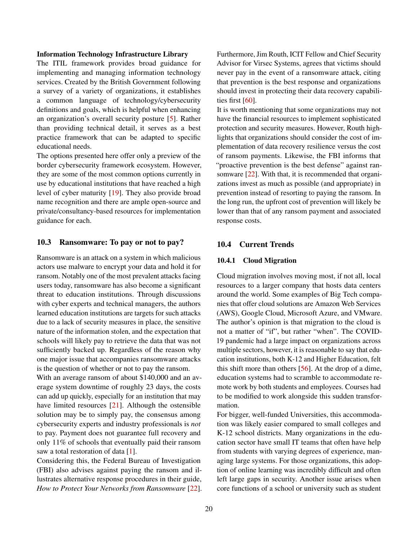#### Information Technology Infrastructure Library

The ITIL framework provides broad guidance for implementing and managing information technology services. Created by the British Government following a survey of a variety of organizations, it establishes a common language of technology/cybersecurity definitions and goals, which is helpful when enhancing an organization's overall security posture [\[5\]](#page-32-16). Rather than providing technical detail, it serves as a best practice framework that can be adapted to specific educational needs.

The options presented here offer only a preview of the border cybersecurity framework ecosystem. However, they are some of the most common options currently in use by educational institutions that have reached a high level of cyber maturity [\[19\]](#page-32-17). They also provide broad name recognition and there are ample open-source and private/consultancy-based resources for implementation guidance for each.

#### 10.3 Ransomware: To pay or not to pay?

Ransomware is an attack on a system in which malicious actors use malware to encrypt your data and hold it for ransom. Notably one of the most prevalent attacks facing users today, ransomware has also become a significant threat to education institutions. Through discussions with cyber experts and technical managers, the authors learned education institutions are targets for such attacks due to a lack of security measures in place, the sensitive nature of the information stolen, and the expectation that schools will likely pay to retrieve the data that was not sufficiently backed up. Regardless of the reason why one major issue that accompanies ransomware attacks is the question of whether or not to pay the ransom.

With an average ransom of about \$140,000 and an average system downtime of roughly 23 days, the costs can add up quickly, especially for an institution that may have limited resources [\[21\]](#page-33-16). Although the ostensible solution may be to simply pay, the consensus among cybersecurity experts and industry professionals is *not* to pay. Payment does not guarantee full recovery and only 11% of schools that eventually paid their ransom saw a total restoration of data [\[1\]](#page-32-1).

Considering this, the Federal Bureau of Investigation (FBI) also advises against paying the ransom and illustrates alternative response procedures in their guide, *How to Protect Your Networks from Ransomware* [\[22\]](#page-33-17).

Furthermore, Jim Routh, ICIT Fellow and Chief Security Advisor for Virsec Systems, agrees that victims should never pay in the event of a ransomware attack, citing that prevention is the best response and organizations should invest in protecting their data recovery capabili-ties first [\[60\]](#page-35-9).

It is worth mentioning that some organizations may not have the financial resources to implement sophisticated protection and security measures. However, Routh highlights that organizations should consider the cost of implementation of data recovery resilience versus the cost of ransom payments. Likewise, the FBI informs that "proactive prevention is the best defense" against ransomware [\[22\]](#page-33-17). With that, it is recommended that organizations invest as much as possible (and appropriate) in prevention instead of resorting to paying the ransom. In the long run, the upfront cost of prevention will likely be lower than that of any ransom payment and associated response costs.

# 10.4 Current Trends

#### 10.4.1 Cloud Migration

Cloud migration involves moving most, if not all, local resources to a larger company that hosts data centers around the world. Some examples of Big Tech companies that offer cloud solutions are Amazon Web Services (AWS), Google Cloud, Microsoft Azure, and VMware. The author's opinion is that migration to the cloud is not a matter of "if", but rather "when". The COVID-19 pandemic had a large impact on organizations across multiple sectors, however, it is reasonable to say that education institutions, both K-12 and Higher Education, felt this shift more than others [\[56\]](#page-34-15). At the drop of a dime, education systems had to scramble to accommodate remote work by both students and employees. Courses had to be modified to work alongside this sudden transformation.

For bigger, well-funded Universities, this accommodation was likely easier compared to small colleges and K-12 school districts. Many organizations in the education sector have small IT teams that often have help from students with varying degrees of experience, managing large systems. For those organizations, this adoption of online learning was incredibly difficult and often left large gaps in security. Another issue arises when core functions of a school or university such as student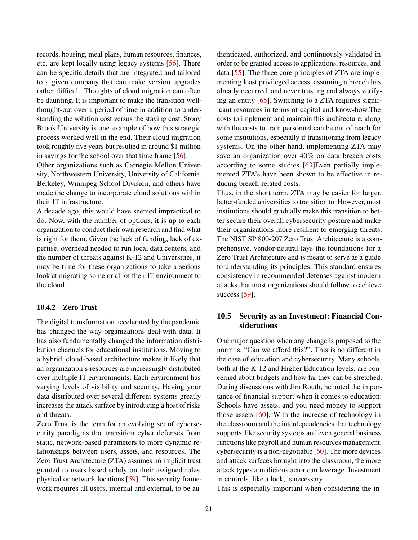records, housing, meal plans, human resources, finances, etc. are kept locally using legacy systems [\[56\]](#page-34-15). There can be specific details that are integrated and tailored to a given company that can make version upgrades rather difficult. Thoughts of cloud migration can often be daunting. It is important to make the transition wellthought-out over a period of time in addition to understanding the solution cost versus the staying cost. Stony Brook University is one example of how this strategic process worked well in the end. Their cloud migration took roughly five years but resulted in around \$1 million in savings for the school over that time frame [\[56\]](#page-34-15).

Other organizations such as Carnegie Mellon University, Northwestern University, University of California, Berkeley, Winnipeg School Division, and others have made the change to incorporate cloud solutions within their IT infrastructure.

A decade ago, this would have seemed impractical to do. Now, with the number of options, it is up to each organization to conduct their own research and find what is right for them. Given the lack of funding, lack of expertise, overhead needed to run local data centers, and the number of threats against K-12 and Universities, it may be time for these organizations to take a serious look at migrating some or all of their IT environment to the cloud.

#### 10.4.2 Zero Trust

The digital transformation accelerated by the pandemic has changed the way organizations deal with data. It has also fundamentally changed the information distribution channels for educational institutions. Moving to a hybrid, cloud-based architecture makes it likely that an organization's resources are increasingly distributed over multiple IT environments. Each environment has varying levels of visibility and security. Having your data distributed over several different systems greatly increases the attack surface by introducing a host of risks and threats.

Zero Trust is the term for an evolving set of cybersecurity paradigms that transition cyber defenses from static, network-based parameters to more dynamic relationships between users, assets, and resources. The Zero Trust Architecture (ZTA) assumes no implicit trust granted to users based solely on their assigned roles, physical or network locations [\[59\]](#page-35-10). This security framework requires all users, internal and external, to be au-

thenticated, authorized, and continuously validated in order to be granted access to applications, resources, and data [\[55\]](#page-34-16). The three core principles of ZTA are implementing least privileged access, assuming a breach has already occurred, and never trusting and always verifying an entity [\[65\]](#page-35-11). Switching to a ZTA requires significant resources in terms of capital and know-how.The costs to implement and maintain this architecture, along with the costs to train personnel can be out of reach for some institutions, especially if transitioning from legacy systems. On the other hand, implementing ZTA may save an organization over 40% on data breach costs according to some studies [\[63\]](#page-35-12)Even partially implemented ZTA's have been shown to be effective in reducing breach-related costs.

Thus, in the short term, ZTA may be easier for larger, better-funded universities to transition to. However, most institutions should gradually make this transition to better secure their overall cybersecurity posture and make their organizations more resilient to emerging threats. The NIST SP 800-207 Zero Trust Architecture is a comprehensive, vendor-neutral lays the foundations for a Zero Trust Architecture and is meant to serve as a guide to understanding its principles. This standard ensures consistency in recommended defenses against modern attacks that most organizations should follow to achieve success [\[59\]](#page-35-10).

# 10.5 Security as an Investment: Financial Considerations

One major question when any change is proposed to the norm is, "Can we afford this?". This is no different in the case of education and cybersecurity. Many schools, both at the K-12 and Higher Education levels, are concerned about budgets and how far they can be stretched. During discussions with Jim Routh, he noted the importance of financial support when it comes to education: Schools have assets, and you need money to support those assets [\[60\]](#page-35-9). With the increase of technology in the classroom and the interdependencies that technology supports, like security systems and even general business functions like payroll and human resources management, cybersecurity is a non-negotiable  $[60]$ . The more devices and attack surfaces brought into the classroom, the more attack types a malicious actor can leverage. Investment in controls, like a lock, is necessary.

This is especially important when considering the in-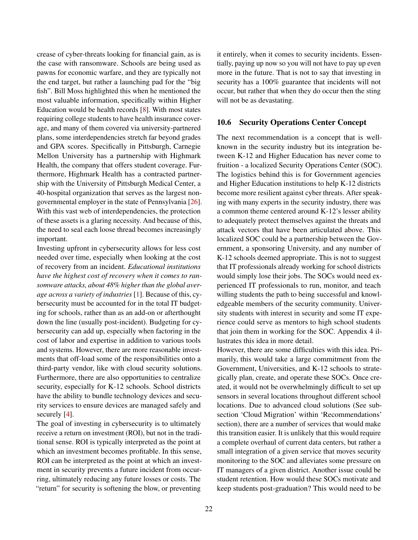crease of cyber-threats looking for financial gain, as is the case with ransomware. Schools are being used as pawns for economic warfare, and they are typically not the end target, but rather a launching pad for the "big fish". Bill Moss highlighted this when he mentioned the most valuable information, specifically within Higher Education would be health records [\[8\]](#page-32-10). With most states requiring college students to have health insurance coverage, and many of them covered via university-partnered plans, some interdependencies stretch far beyond grades and GPA scores. Specifically in Pittsburgh, Carnegie Mellon University has a partnership with Highmark Health, the company that offers student coverage. Furthermore, Highmark Health has a contracted partnership with the University of Pittsburgh Medical Center, a 40-hospital organization that serves as the largest nongovernmental employer in the state of Pennsylvania [\[26\]](#page-33-18). With this vast web of interdependencies, the protection of these assets is a glaring necessity. And because of this, the need to seal each loose thread becomes increasingly important.

Investing upfront in cybersecurity allows for less cost needed over time, especially when looking at the cost of recovery from an incident. *Educational institutions have the highest cost of recovery when it comes to ransomware attacks, about 48% higher than the global average across a variety of industries* [\[1\]](#page-32-1). Because of this, cybersecurity must be accounted for in the total IT budgeting for schools, rather than as an add-on or afterthought down the line (usually post-incident). Budgeting for cybersecurity can add up, especially when factoring in the cost of labor and expertise in addition to various tools and systems. However, there are more reasonable investments that off-load some of the responsibilities onto a third-party vendor, like with cloud security solutions. Furthermore, there are also opportunities to centralize security, especially for K-12 schools. School districts have the ability to bundle technology devices and security services to ensure devices are managed safely and securely [\[4\]](#page-32-18).

The goal of investing in cybersecurity is to ultimately receive a return on investment (ROI), but not in the traditional sense. ROI is typically interpreted as the point at which an investment becomes profitable. In this sense, ROI can be interpreted as the point at which an investment in security prevents a future incident from occurring, ultimately reducing any future losses or costs. The "return" for security is softening the blow, or preventing

it entirely, when it comes to security incidents. Essentially, paying up now so you will not have to pay up even more in the future. That is not to say that investing in security has a 100% guarantee that incidents will not occur, but rather that when they do occur then the sting will not be as devastating.

#### 10.6 Security Operations Center Concept

The next recommendation is a concept that is wellknown in the security industry but its integration between K-12 and Higher Education has never come to fruition - a localized Security Operations Center (SOC). The logistics behind this is for Government agencies and Higher Education institutions to help K-12 districts become more resilient against cyber threats. After speaking with many experts in the security industry, there was a common theme centered around K-12's lesser ability to adequately protect themselves against the threats and attack vectors that have been articulated above. This localized SOC could be a partnership between the Government, a sponsoring University, and any number of K-12 schools deemed appropriate. This is not to suggest that IT professionals already working for school districts would simply lose their jobs. The SOCs would need experienced IT professionals to run, monitor, and teach willing students the path to being successful and knowledgeable members of the security community. University students with interest in security and some IT experience could serve as mentors to high school students that join them in working for the SOC. Appendix 4 illustrates this idea in more detail.

However, there are some difficulties with this idea. Primarily, this would take a large commitment from the Government, Universities, and K-12 schools to strategically plan, create, and operate these SOCs. Once created, it would not be overwhelmingly difficult to set up sensors in several locations throughout different school locations. Due to advanced cloud solutions (See subsection 'Cloud Migration' within 'Recommendations' section), there are a number of services that would make this transition easier. It is unlikely that this would require a complete overhaul of current data centers, but rather a small integration of a given service that moves security monitoring to the SOC and alleviates some pressure on IT managers of a given district. Another issue could be student retention. How would these SOCs motivate and keep students post-graduation? This would need to be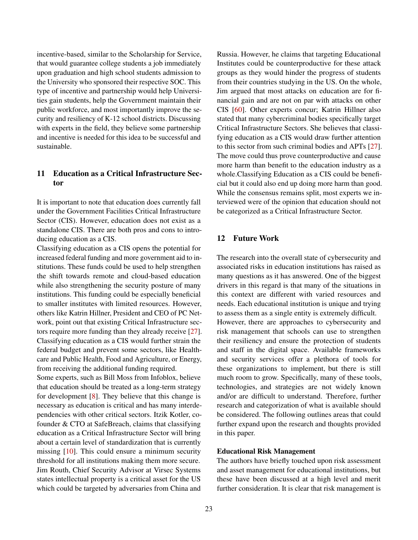incentive-based, similar to the Scholarship for Service, that would guarantee college students a job immediately upon graduation and high school students admission to the University who sponsored their respective SOC. This type of incentive and partnership would help Universities gain students, help the Government maintain their public workforce, and most importantly improve the security and resiliency of K-12 school districts. Discussing with experts in the field, they believe some partnership and incentive is needed for this idea to be successful and sustainable.

# 11 Education as a Critical Infrastructure Sector

It is important to note that education does currently fall under the Government Facilities Critical Infrastructure Sector (CIS). However, education does not exist as a standalone CIS. There are both pros and cons to introducing education as a CIS.

Classifying education as a CIS opens the potential for increased federal funding and more government aid to institutions. These funds could be used to help strengthen the shift towards remote and cloud-based education while also strengthening the security posture of many institutions. This funding could be especially beneficial to smaller institutes with limited resources. However, others like Katrin Hillner, President and CEO of PC Network, point out that existing Critical Infrastructure sectors require more funding than they already receive [\[27\]](#page-33-15). Classifying education as a CIS would further strain the federal budget and prevent some sectors, like Healthcare and Public Health, Food and Agriculture, or Energy, from receiving the additional funding required.

Some experts, such as Bill Moss from Infoblox, believe that education should be treated as a long-term strategy for development [\[8\]](#page-32-10). They believe that this change is necessary as education is critical and has many interdependencies with other critical sectors. Itzik Kotler, cofounder & CTO at SafeBreach, claims that classifying education as a Critical Infrastructure Sector will bring about a certain level of standardization that is currently missing [\[10\]](#page-32-19). This could ensure a minimum security threshold for all institutions making them more secure. Jim Routh, Chief Security Advisor at Virsec Systems states intellectual property is a critical asset for the US which could be targeted by adversaries from China and

Russia. However, he claims that targeting Educational Institutes could be counterproductive for these attack groups as they would hinder the progress of students from their countries studying in the US. On the whole, Jim argued that most attacks on education are for financial gain and are not on par with attacks on other CIS [\[60\]](#page-35-9). Other experts concur; Katrin Hillner also stated that many cybercriminal bodies specifically target Critical Infrastructure Sectors. She believes that classifying education as a CIS would draw further attention to this sector from such criminal bodies and APTs [\[27\]](#page-33-15). The move could thus prove counterproductive and cause more harm than benefit to the education industry as a whole.Classifying Education as a CIS could be beneficial but it could also end up doing more harm than good. While the consensus remains split, most experts we interviewed were of the opinion that education should not be categorized as a Critical Infrastructure Sector.

# 12 Future Work

The research into the overall state of cybersecurity and associated risks in education institutions has raised as many questions as it has answered. One of the biggest drivers in this regard is that many of the situations in this context are different with varied resources and needs. Each educational institution is unique and trying to assess them as a single entity is extremely difficult. However, there are approaches to cybersecurity and risk management that schools can use to strengthen their resiliency and ensure the protection of students and staff in the digital space. Available frameworks and security services offer a plethora of tools for these organizations to implement, but there is still much room to grow. Specifically, many of these tools, technologies, and strategies are not widely known and/or are difficult to understand. Therefore, further research and categorization of what is available should be considered. The following outlines areas that could further expand upon the research and thoughts provided in this paper.

#### Educational Risk Management

The authors have briefly touched upon risk assessment and asset management for educational institutions, but these have been discussed at a high level and merit further consideration. It is clear that risk management is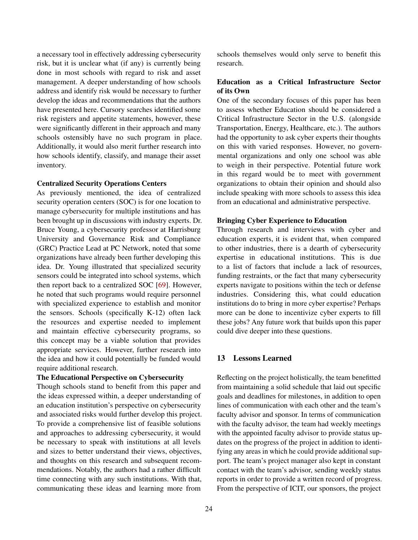a necessary tool in effectively addressing cybersecurity risk, but it is unclear what (if any) is currently being done in most schools with regard to risk and asset management. A deeper understanding of how schools address and identify risk would be necessary to further develop the ideas and recommendations that the authors have presented here. Cursory searches identified some risk registers and appetite statements, however, these were significantly different in their approach and many schools ostensibly have no such program in place. Additionally, it would also merit further research into how schools identify, classify, and manage their asset inventory.

#### Centralized Security Operations Centers

As previously mentioned, the idea of centralized security operation centers (SOC) is for one location to manage cybersecurity for multiple institutions and has been brought up in discussions with industry experts. Dr. Bruce Young, a cybersecurity professor at Harrisburg University and Governance Risk and Compliance (GRC) Practice Lead at PC Network, noted that some organizations have already been further developing this idea. Dr. Young illustrated that specialized security sensors could be integrated into school systems, which then report back to a centralized SOC [\[69\]](#page-35-13). However, he noted that such programs would require personnel with specialized experience to establish and monitor the sensors. Schools (specifically K-12) often lack the resources and expertise needed to implement and maintain effective cybersecurity programs, so this concept may be a viable solution that provides appropriate services. However, further research into the idea and how it could potentially be funded would require additional research.

#### The Educational Perspective on Cybersecurity

Though schools stand to benefit from this paper and the ideas expressed within, a deeper understanding of an education institution's perspective on cybersecurity and associated risks would further develop this project. To provide a comprehensive list of feasible solutions and approaches to addressing cybersecurity, it would be necessary to speak with institutions at all levels and sizes to better understand their views, objectives, and thoughts on this research and subsequent recommendations. Notably, the authors had a rather difficult time connecting with any such institutions. With that, communicating these ideas and learning more from

schools themselves would only serve to benefit this research.

# Education as a Critical Infrastructure Sector of its Own

One of the secondary focuses of this paper has been to assess whether Education should be considered a Critical Infrastructure Sector in the U.S. (alongside Transportation, Energy, Healthcare, etc.). The authors had the opportunity to ask cyber experts their thoughts on this with varied responses. However, no governmental organizations and only one school was able to weigh in their perspective. Potential future work in this regard would be to meet with government organizations to obtain their opinion and should also include speaking with more schools to assess this idea from an educational and administrative perspective.

#### Bringing Cyber Experience to Education

Through research and interviews with cyber and education experts, it is evident that, when compared to other industries, there is a dearth of cybersecurity expertise in educational institutions. This is due to a list of factors that include a lack of resources, funding restraints, or the fact that many cybersecurity experts navigate to positions within the tech or defense industries. Considering this, what could education institutions do to bring in more cyber expertise? Perhaps more can be done to incentivize cyber experts to fill these jobs? Any future work that builds upon this paper could dive deeper into these questions.

#### 13 Lessons Learned

Reflecting on the project holistically, the team benefitted from maintaining a solid schedule that laid out specific goals and deadlines for milestones, in addition to open lines of communication with each other and the team's faculty advisor and sponsor. In terms of communication with the faculty advisor, the team had weekly meetings with the appointed faculty advisor to provide status updates on the progress of the project in addition to identifying any areas in which he could provide additional support. The team's project manager also kept in constant contact with the team's advisor, sending weekly status reports in order to provide a written record of progress. From the perspective of ICIT, our sponsors, the project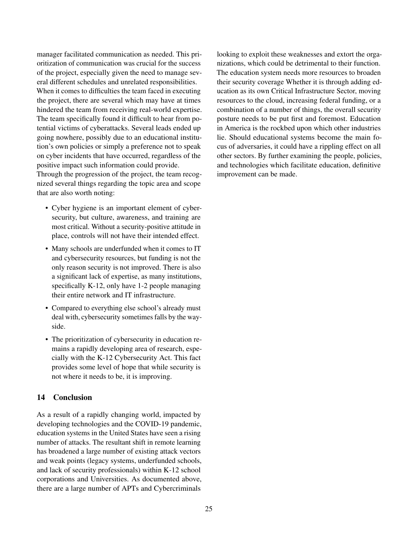manager facilitated communication as needed. This prioritization of communication was crucial for the success of the project, especially given the need to manage several different schedules and unrelated responsibilities. When it comes to difficulties the team faced in executing the project, there are several which may have at times hindered the team from receiving real-world expertise. The team specifically found it difficult to hear from potential victims of cyberattacks. Several leads ended up going nowhere, possibly due to an educational institution's own policies or simply a preference not to speak on cyber incidents that have occurred, regardless of the positive impact such information could provide.

Through the progression of the project, the team recognized several things regarding the topic area and scope that are also worth noting:

- Cyber hygiene is an important element of cybersecurity, but culture, awareness, and training are most critical. Without a security-positive attitude in place, controls will not have their intended effect.
- Many schools are underfunded when it comes to IT and cybersecurity resources, but funding is not the only reason security is not improved. There is also a significant lack of expertise, as many institutions, specifically K-12, only have 1-2 people managing their entire network and IT infrastructure.
- Compared to everything else school's already must deal with, cybersecurity sometimes falls by the wayside.
- The prioritization of cybersecurity in education remains a rapidly developing area of research, especially with the K-12 Cybersecurity Act. This fact provides some level of hope that while security is not where it needs to be, it is improving.

# 14 Conclusion

As a result of a rapidly changing world, impacted by developing technologies and the COVID-19 pandemic, education systems in the United States have seen a rising number of attacks. The resultant shift in remote learning has broadened a large number of existing attack vectors and weak points (legacy systems, underfunded schools, and lack of security professionals) within K-12 school corporations and Universities. As documented above, there are a large number of APTs and Cybercriminals

looking to exploit these weaknesses and extort the organizations, which could be detrimental to their function. The education system needs more resources to broaden their security coverage Whether it is through adding education as its own Critical Infrastructure Sector, moving resources to the cloud, increasing federal funding, or a combination of a number of things, the overall security posture needs to be put first and foremost. Education in America is the rockbed upon which other industries lie. Should educational systems become the main focus of adversaries, it could have a rippling effect on all other sectors. By further examining the people, policies, and technologies which facilitate education, definitive improvement can be made.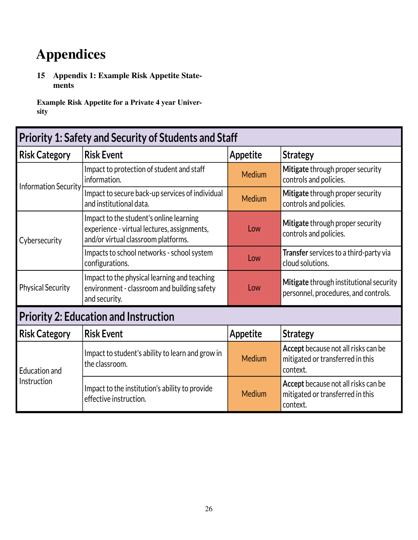# Appendices

15 Appendix 1: Example Risk Appetite Statements

Example Risk Appetite for a Private 4 year University

| <b>Priority 1: Safety and Security of Students and Staff.</b> |                                                                                                                               |          |                                                                                     |  |  |
|---------------------------------------------------------------|-------------------------------------------------------------------------------------------------------------------------------|----------|-------------------------------------------------------------------------------------|--|--|
| <b>Risk Category</b>                                          | <b>Risk Event</b>                                                                                                             | Appetite | <b>Strategy</b>                                                                     |  |  |
| <b>Information Security</b>                                   | Impact to protection of student and staff<br>information.                                                                     | Medium   | Mitigate through proper security<br>controls and policies.                          |  |  |
|                                                               | Impact to secure back-up services of individual<br>and institutional data.                                                    | Medium   | Mitigate through proper security<br>controls and policies.                          |  |  |
| Cybersecurity                                                 | Impact to the student's online learning<br>experience - virtual lectures, assignments,<br>and/or virtual classroom platforms. | Low      | Mitigate through proper security<br>controls and policies.                          |  |  |
|                                                               | Impacts to school networks - school system<br>configurations.                                                                 | Low      | Transfer services to a third-party via<br>cloud solutions.                          |  |  |
| <b>Physical Security</b>                                      | Impact to the physical learning and teaching<br>environment - classroom and building safety<br>and security.                  | Low      | Mitigate through institutional security<br>personnel, procedures, and controls.     |  |  |
| <b>Priority 2: Education and Instruction</b>                  |                                                                                                                               |          |                                                                                     |  |  |
| <b>Risk Category</b>                                          | <b>Risk Event</b>                                                                                                             | Appetite | <b>Strategy</b>                                                                     |  |  |
| <b>Education and</b><br>Instruction                           | Impact to student's ability to learn and grow in<br>the classroom.                                                            | Medium   | Accept because not all risks can be<br>mitigated or transferred in this<br>context. |  |  |
|                                                               | Impact to the institution's ability to provide<br>effective instruction.                                                      | Medium   | Accept because not all risks can be<br>mitigated or transferred in this<br>context. |  |  |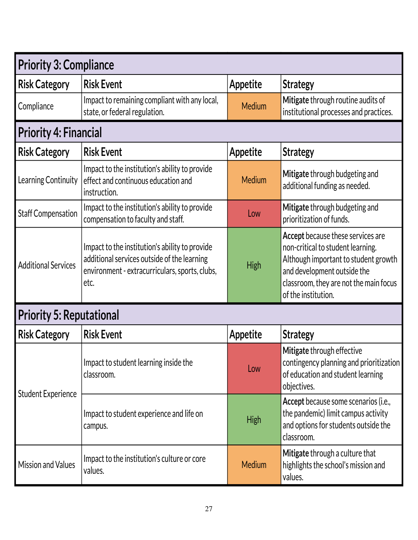| <b>Priority 3: Compliance</b>   |                                                                                                                                                         |             |                                                                                                                                                                                                                |  |  |
|---------------------------------|---------------------------------------------------------------------------------------------------------------------------------------------------------|-------------|----------------------------------------------------------------------------------------------------------------------------------------------------------------------------------------------------------------|--|--|
| <b>Risk Category</b>            | <b>Risk Event</b>                                                                                                                                       | Appetite    | <b>Strategy</b>                                                                                                                                                                                                |  |  |
| Compliance                      | Impact to remaining compliant with any local,<br>state, or federal regulation.                                                                          | Medium      | Mitigate through routine audits of<br>institutional processes and practices.                                                                                                                                   |  |  |
| <b>Priority 4: Financial</b>    |                                                                                                                                                         |             |                                                                                                                                                                                                                |  |  |
| <b>Risk Category</b>            | <b>Risk Event</b>                                                                                                                                       | Appetite    | <b>Strategy</b>                                                                                                                                                                                                |  |  |
| Learning Continuity             | Impact to the institution's ability to provide<br>effect and continuous education and<br>instruction.                                                   | Medium      | Mitigate through budgeting and<br>additional funding as needed.                                                                                                                                                |  |  |
| <b>Staff Compensation</b>       | Impact to the institution's ability to provide<br>compensation to faculty and staff.                                                                    | Low         | Mitigate through budgeting and<br>prioritization of funds.                                                                                                                                                     |  |  |
| <b>Additional Services</b>      | Impact to the institution's ability to provide<br>additional services outside of the learning<br>environment - extracurriculars, sports, clubs,<br>etc. | <b>High</b> | Accept because these services are<br>non-critical to student learning.<br>Although important to student growth<br>and development outside the<br>classroom, they are not the main focus<br>of the institution. |  |  |
| <b>Priority 5: Reputational</b> |                                                                                                                                                         |             |                                                                                                                                                                                                                |  |  |
| <b>Risk Category</b>            | <b>Risk Event</b>                                                                                                                                       | Appetite    | <b>Strategy</b>                                                                                                                                                                                                |  |  |
| <b>Student Experience</b>       | Impact to student learning inside the<br>classroom.                                                                                                     | Low         | Mitigate through effective<br>contingency planning and prioritization<br>of education and student learning<br>objectives.                                                                                      |  |  |
|                                 | Impact to student experience and life on<br>campus.                                                                                                     | <b>High</b> | Accept because some scenarios (i.e.,<br>the pandemic) limit campus activity<br>and options for students outside the<br>classroom.                                                                              |  |  |
| <b>Mission and Values</b>       | Impact to the institution's culture or core<br>values.                                                                                                  | Medium      | Mitigate through a culture that<br>highlights the school's mission and<br>values.                                                                                                                              |  |  |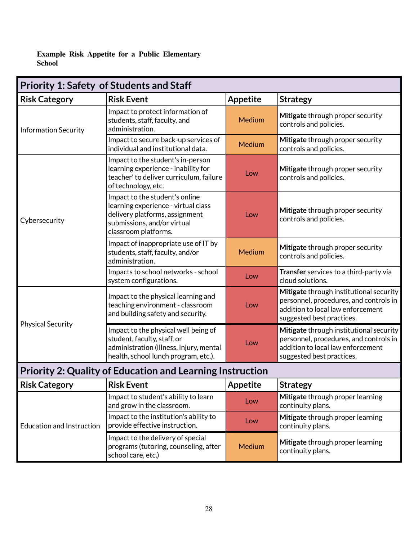Example Risk Appetite for a Public Elementary School

| <b>Priority 1: Safety of Students and Staff</b>                  |                                                                                                                                                                |                 |                                                                                                                                                     |  |  |
|------------------------------------------------------------------|----------------------------------------------------------------------------------------------------------------------------------------------------------------|-----------------|-----------------------------------------------------------------------------------------------------------------------------------------------------|--|--|
| <b>Risk Category</b>                                             | <b>Risk Event</b>                                                                                                                                              | <b>Appetite</b> | <b>Strategy</b>                                                                                                                                     |  |  |
| <b>Information Security</b>                                      | Impact to protect information of<br>students, staff, faculty, and<br>administration.                                                                           | <b>Medium</b>   | Mitigate through proper security<br>controls and policies.                                                                                          |  |  |
|                                                                  | Impact to secure back-up services of<br>individual and institutional data.                                                                                     | <b>Medium</b>   | Mitigate through proper security<br>controls and policies.                                                                                          |  |  |
|                                                                  | Impact to the student's in-person<br>learning experience - inability for<br>teacher' to deliver curriculum, failure<br>of technology, etc.                     | Low             | Mitigate through proper security<br>controls and policies.                                                                                          |  |  |
| Cybersecurity                                                    | Impact to the student's online<br>learning experience - virtual class<br>delivery platforms, assignment<br>submissions, and/or virtual<br>classroom platforms. | Low             | Mitigate through proper security<br>controls and policies.                                                                                          |  |  |
|                                                                  | Impact of inappropriate use of IT by<br>students, staff, faculty, and/or<br>administration.                                                                    | Medium          | Mitigate through proper security<br>controls and policies.                                                                                          |  |  |
|                                                                  | Impacts to school networks - school<br>system configurations.                                                                                                  | Low             | Transfer services to a third-party via<br>cloud solutions.                                                                                          |  |  |
| <b>Physical Security</b>                                         | Impact to the physical learning and<br>teaching environment - classroom<br>and building safety and security.                                                   | Low             | Mitigate through institutional security<br>personnel, procedures, and controls in<br>addition to local law enforcement<br>suggested best practices. |  |  |
|                                                                  | Impact to the physical well being of<br>student, faculty, staff, or<br>administration (illness, injury, mental<br>health, school lunch program, etc.).         | Low             | Mitigate through institutional security<br>personnel, procedures, and controls in<br>addition to local law enforcement<br>suggested best practices. |  |  |
| <b>Priority 2: Quality of Education and Learning Instruction</b> |                                                                                                                                                                |                 |                                                                                                                                                     |  |  |
| <b>Risk Category</b>                                             | <b>Risk Event</b>                                                                                                                                              | Appetite        | <b>Strategy</b>                                                                                                                                     |  |  |
|                                                                  | Impact to student's ability to learn<br>and grow in the classroom.                                                                                             | Low             | Mitigate through proper learning<br>continuity plans.                                                                                               |  |  |
| <b>Education and Instruction</b>                                 | Impact to the institution's ability to<br>provide effective instruction.                                                                                       | Low             | Mitigate through proper learning<br>continuity plans.                                                                                               |  |  |
|                                                                  | Impact to the delivery of special<br>programs (tutoring, counseling, after<br>school care, etc.)                                                               | <b>Medium</b>   | Mitigate through proper learning<br>continuity plans.                                                                                               |  |  |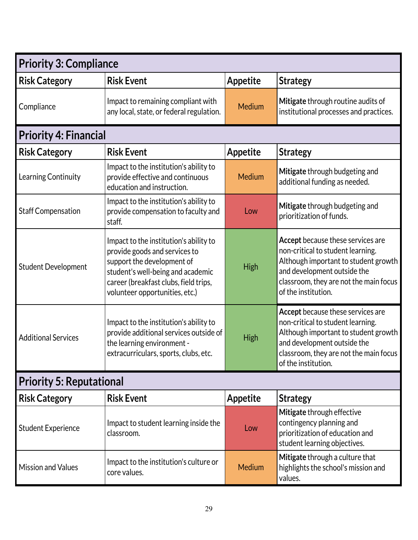| <b>Priority 3: Compliance</b>   |                                                                                                                                                                                                                       |                 |                                                                                                                                                                                                                |  |
|---------------------------------|-----------------------------------------------------------------------------------------------------------------------------------------------------------------------------------------------------------------------|-----------------|----------------------------------------------------------------------------------------------------------------------------------------------------------------------------------------------------------------|--|
| <b>Risk Category</b>            | <b>Risk Event</b>                                                                                                                                                                                                     | Appetite        | <b>Strategy</b>                                                                                                                                                                                                |  |
| Compliance                      | Impact to remaining compliant with<br>any local, state, or federal regulation.                                                                                                                                        | Medium          | Mitigate through routine audits of<br>institutional processes and practices.                                                                                                                                   |  |
| <b>Priority 4: Financial</b>    |                                                                                                                                                                                                                       |                 |                                                                                                                                                                                                                |  |
| <b>Risk Category</b>            | <b>Risk Event</b>                                                                                                                                                                                                     | <b>Appetite</b> | <b>Strategy</b>                                                                                                                                                                                                |  |
| Learning Continuity             | Impact to the institution's ability to<br>provide effective and continuous<br>education and instruction.                                                                                                              | Medium          | Mitigate through budgeting and<br>additional funding as needed.                                                                                                                                                |  |
| <b>Staff Compensation</b>       | Impact to the institution's ability to<br>provide compensation to faculty and<br>staff.                                                                                                                               | Low             | Mitigate through budgeting and<br>prioritization of funds.                                                                                                                                                     |  |
| <b>Student Development</b>      | Impact to the institution's ability to<br>provide goods and services to<br>support the development of<br>student's well-being and academic<br>career (breakfast clubs, field trips,<br>volunteer opportunities, etc.) | <b>High</b>     | Accept because these services are<br>non-critical to student learning.<br>Although important to student growth<br>and development outside the<br>classroom, they are not the main focus<br>of the institution. |  |
| <b>Additional Services</b>      | Impact to the institution's ability to<br>provide additional services outside of<br>the learning environment -<br>extracurriculars, sports, clubs, etc.                                                               | <b>High</b>     | Accept because these services are<br>non-critical to student learning.<br>Although important to student growth<br>and development outside the<br>classroom, they are not the main focus<br>of the institution. |  |
| <b>Priority 5: Reputational</b> |                                                                                                                                                                                                                       |                 |                                                                                                                                                                                                                |  |
| <b>Risk Category</b>            | <b>Risk Event</b>                                                                                                                                                                                                     | <b>Appetite</b> | <b>Strategy</b>                                                                                                                                                                                                |  |
| <b>Student Experience</b>       | Impact to student learning inside the<br>classroom.                                                                                                                                                                   | Low             | Mitigate through effective<br>contingency planning and<br>prioritization of education and<br>student learning objectives.                                                                                      |  |
| <b>Mission and Values</b>       | Impact to the institution's culture or<br>core values.                                                                                                                                                                | Medium          | Mitigate through a culture that<br>highlights the school's mission and<br>values.                                                                                                                              |  |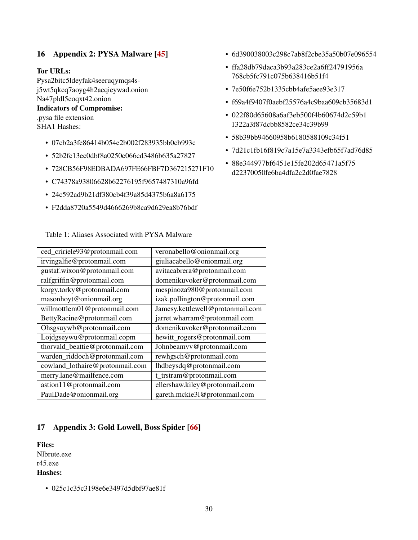# 16 Appendix 2: PYSA Malware [\[45\]](#page-34-7)

# Tor URLs:

Pysa2bitc5ldeyfak4seeruqymqs4sj5wt5qkcq7aoyg4h2acqieywad.onion Na47pldl5eoqxt42.onion Indicators of Compromise: .pysa file extension SHA1 Hashes:

- 07cb2a3fe86414b054e2b002f283935bb0cb993c
- 52b2fc13ec0dbf8a0250c066cd3486b635a27827
- 728CB56F98EDBADA697FE66FBF7D367215271F10
- C74378a93806628b62276195f9657487310a96fd
- 24c592ad9b21df380cb4f39a85d4375b6a8a6175
- F2dda8720a5549d4666269b8ca9d629ea8b76bdf

Table 1: Aliases Associated with PYSA Malware

ced\_cririele93@protonmail.com | veronabello@onionmail.org irvingalfie@protonmail.com giuliacabello@onionmail.org gustaf.wixon@protonmail.com avitacabrera@protonmail.com ralfgriffin@protonmail.com domenikuvoker@protonmail.com korgy.torky@protonmail.com mespinoza980@protonmail.com masonhoyt@onionmail.org izak.pollington@protonmail.com willmottlem01@protonmail.com Jamesy.kettlewell@protonmail.com BettyRacine@protonmail.com i jarret.wharram@protonmail.com Ohsgsuywb@protonmail.com domenikuvoker@protonmail.com Lojdgseywu@protonmail.copm hewitt\_rogers@protonmail.com thorvald\_beattie@protonmail.com Johnbeamvv@protonmail.com warden\_riddoch@protonmail.com rewhgsch@protonmail.com cowland\_lothaire@protonmail.com | lhdbeysdq@protonmail.com merry.lane@mailfence.com t\_trstram@protonmail.com astion11@protonmail.com ellershaw.kiley@protonmail.com PaulDade@onionmail.org gareth.mckie31@protonmail.com

# 17 Appendix 3: Gold Lowell, Boss Spider [\[66\]](#page-35-5)

# Files: Nlbrute.exe r45.exe Hashes:

• 025c1c35c3198e6e3497d5dbf97ae81f

- 6d390038003c298c7ab8f2cbe35a50b07e096554
- ffa28db79daca3b93a283ce2a6ff24791956a 768cb5fc791c075b638416b51f4
- 7e50f6e752b1335cbb4afe5aee93e317
- f69a4f9407f0aebf25576a4c9baa609cb35683d1
- 022f80d65608a6af3eb500f4b60674d2c59b1 1322a3f87dcbb8582ce34c39b99
- 58b39bb94660958b6180588109c34f51
- 7d21c1fb16f819c7a15e7a3343efb65f7ad76d85
- 88e344977bf6451e15fe202d65471a5f75 d22370050fe6ba4dfa2c2d0fae7828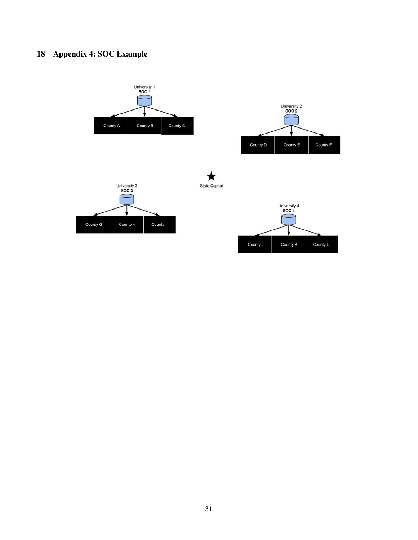# 18 Appendix 4: SOC Example

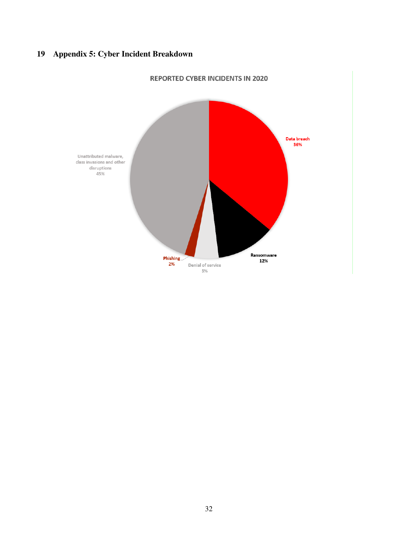# 19 Appendix 5: Cyber Incident Breakdown



**REPORTED CYBER INCIDENTS IN 2020**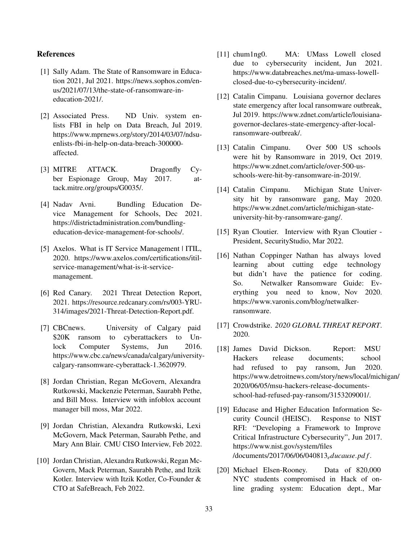# References

- <span id="page-32-1"></span>[1] Sally Adam. The State of Ransomware in Education 2021, Jul 2021. https://news.sophos.com/enus/2021/07/13/the-state-of-ransomware-ineducation-2021/.
- <span id="page-32-0"></span>[2] Associated Press. ND Univ. system enlists FBI in help on Data Breach, Jul 2019. https://www.mprnews.org/story/2014/03/07/ndsuenlists-fbi-in-help-on-data-breach-300000 affected.
- <span id="page-32-13"></span>[3] MITRE ATTACK. Dragonfly Cyber Espionage Group, May 2017. attack.mitre.org/groups/G0035/.
- <span id="page-32-18"></span>[4] Nadav Avni. Bundling Education Device Management for Schools, Dec 2021. https://districtadministration.com/bundlingeducation-device-management-for-schools/.
- <span id="page-32-16"></span>[5] Axelos. What is IT Service Management | ITIL, 2020. https://www.axelos.com/certifications/itilservice-management/what-is-it-servicemanagement.
- <span id="page-32-8"></span>[6] Red Canary. 2021 Threat Detection Report, 2021. https://resource.redcanary.com/rs/003-YRU-314/images/2021-Threat-Detection-Report.pdf.
- <span id="page-32-6"></span>[7] CBCnews. University of Calgary paid \$20K ransom to cyberattackers to Unlock Computer Systems, Jun 2016. https://www.cbc.ca/news/canada/calgary/universitycalgary-ransomware-cyberattack-1.3620979.
- <span id="page-32-10"></span>[8] Jordan Christian, Regan McGovern, Alexandra Rutkowski, Mackenzie Peterman, Saurabh Pethe, and Bill Moss. Interview with infoblox account manager bill moss, Mar 2022.
- <span id="page-32-12"></span>[9] Jordan Christian, Alexandra Rutkowski, Lexi McGovern, Mack Peterman, Saurabh Pethe, and Mary Ann Blair. CMU CISO Interview, Feb 2022.
- <span id="page-32-19"></span>[10] Jordan Christian, Alexandra Rutkowski, Regan Mc-Govern, Mack Peterman, Saurabh Pethe, and Itzik Kotler. Interview with Itzik Kotler, Co-Founder & CTO at SafeBreach, Feb 2022.
- <span id="page-32-11"></span>[11] chum1ng0. MA: UMass Lowell closed due to cybersecurity incident, Jun 2021. https://www.databreaches.net/ma-umass-lowellclosed-due-to-cybersecurity-incident/.
- <span id="page-32-4"></span>[12] Catalin Cimpanu. Louisiana governor declares state emergency after local ransomware outbreak, Jul 2019. https://www.zdnet.com/article/louisianagovernor-declares-state-emergency-after-localransomware-outbreak/.
- <span id="page-32-3"></span>[13] Catalin Cimpanu. Over 500 US schools were hit by Ransomware in 2019, Oct 2019. https://www.zdnet.com/article/over-500-usschools-were-hit-by-ransomware-in-2019/.
- <span id="page-32-15"></span>[14] Catalin Cimpanu. Michigan State University hit by ransomware gang, May 2020. https://www.zdnet.com/article/michigan-stateuniversity-hit-by-ransomware-gang/.
- <span id="page-32-2"></span>[15] Ryan Cloutier. Interview with Ryan Cloutier -President, SecurityStudio, Mar 2022.
- <span id="page-32-14"></span>[16] Nathan Coppinger Nathan has always loved learning about cutting edge technology but didn't have the patience for coding. So. Netwalker Ransomware Guide: Everything you need to know, Nov 2020. https://www.varonis.com/blog/netwalkerransomware.
- <span id="page-32-9"></span>[17] Crowdstrike. *2020 GLOBAL THREAT REPORT*. 2020.
- <span id="page-32-5"></span>[18] James David Dickson. Report: MSU Hackers release documents; school had refused to pay ransom, Jun 2020. https://www.detroitnews.com/story/news/local/michigan/ 2020/06/05/msu-hackers-release-documentsschool-had-refused-pay-ransom/3153209001/.
- <span id="page-32-17"></span>[19] Educase and Higher Education Information Security Council (HEISC). Response to NIST RFI: "Developing a Framework to Improve Critical Infrastructure Cybersecurity", Jun 2017. https://www.nist.gov/system/files /documents/2017/06/06/040813*educause*.*pd f*.
- <span id="page-32-7"></span>[20] Michael Elsen-Rooney. Data of 820,000 NYC students compromised in Hack of online grading system: Education dept., Mar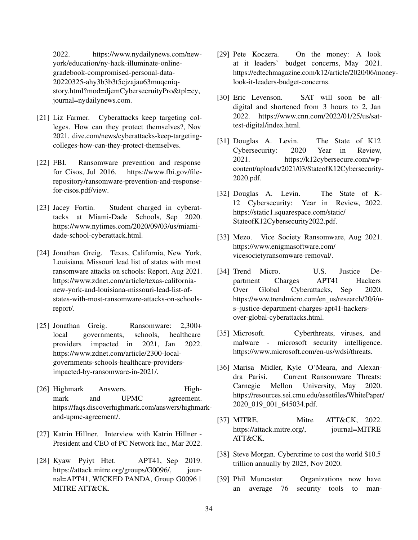2022. https://www.nydailynews.com/newyork/education/ny-hack-illuminate-onlinegradebook-compromised-personal-data-20220325-ahy3b3b3t5cjzajau63muqcniqstory.html?mod=djemCybersecruityPro&tpl=cy, journal=nydailynews.com.

- <span id="page-33-16"></span>[21] Liz Farmer. Cyberattacks keep targeting colleges. How can they protect themselves?, Nov 2021. dive.com/news/cyberattacks-keep-targetingcolleges-how-can-they-protect-themselves.
- <span id="page-33-17"></span>[22] FBI. Ransomware prevention and response for Cisos, Jul 2016. https://www.fbi.gov/filerepository/ransomware-prevention-and-responsefor-cisos.pdf/view.
- <span id="page-33-5"></span>[23] Jacey Fortin. Student charged in cyberattacks at Miami-Dade Schools, Sep 2020. https://www.nytimes.com/2020/09/03/us/miamidade-school-cyberattack.html.
- <span id="page-33-0"></span>[24] Jonathan Greig. Texas, California, New York, Louisiana, Missouri lead list of states with most ransomware attacks on schools: Report, Aug 2021. https://www.zdnet.com/article/texas-californianew-york-and-louisiana-missouri-lead-list-ofstates-with-most-ransomware-attacks-on-schoolsreport/.
- <span id="page-33-1"></span>[25] Jonathan Greig. Ransomware: 2,300+ local governments, schools, healthcare providers impacted in 2021, Jan 2022. https://www.zdnet.com/article/2300-localgovernments-schools-healthcare-providersimpacted-by-ransomware-in-2021/.
- <span id="page-33-18"></span>[26] Highmark Answers. Highmark and UPMC agreement. https://faqs.discoverhighmark.com/answers/highmarkand-upmc-agreement/.
- <span id="page-33-15"></span>[27] Katrin Hillner. Interview with Katrin Hillner - President and CEO of PC Network Inc., Mar 2022.
- <span id="page-33-12"></span>[28] Kyaw Pyiyt Htet. APT41, Sep 2019. https://attack.mitre.org/groups/G0096/, journal=APT41, WICKED PANDA, Group G0096 | MITRE ATT&CK.
- <span id="page-33-2"></span>[29] Pete Koczera. On the money: A look at it leaders' budget concerns, May 2021. https://edtechmagazine.com/k12/article/2020/06/moneylook-it-leaders-budget-concerns.
- <span id="page-33-4"></span>[30] Eric Levenson. SAT will soon be alldigital and shortened from 3 hours to 2, Jan 2022. https://www.cnn.com/2022/01/25/us/sattest-digital/index.html.
- <span id="page-33-8"></span>[31] Douglas A. Levin. The State of K12 Cybersecurity: 2020 Year in Review, 2021. https://k12cybersecure.com/wpcontent/uploads/2021/03/StateofK12Cybersecurity-2020.pdf.
- <span id="page-33-9"></span>[32] Douglas A. Levin. The State of K-12 Cybersecurity: Year in Review, 2022. https://static1.squarespace.com/static/ StateofK12Cybersecurity2022.pdf.
- <span id="page-33-14"></span>[33] Mezo. Vice Society Ransomware, Aug 2021. https://www.enigmasoftware.com/ vicesocietyransomware-removal/.
- <span id="page-33-13"></span>[34] Trend Micro. U.S. Justice Department Charges APT41 Hackers Over Global Cyberattacks, Sep 2020. https://www.trendmicro.com/en\_us/research/20/i/us–justice-department-charges-apt41-hackersover-global-cyberattacks.html.
- <span id="page-33-7"></span>[35] Microsoft. Cyberthreats, viruses, and malware - microsoft security intelligence. https://www.microsoft.com/en-us/wdsi/threats.
- <span id="page-33-11"></span>[36] Marisa Midler, Kyle O'Meara, and Alexandra Parisi. Current Ransomware Threats: Carnegie Mellon University, May 2020. https://resources.sei.cmu.edu/assetfiles/WhitePaper/ 2020\_019\_001\_645034.pdf.
- <span id="page-33-6"></span>[37] MITRE. Mitre ATT&CK, 2022. https://attack.mitre.org/, journal=MITRE ATT&CK.
- <span id="page-33-10"></span>[38] Steve Morgan. Cybercrime to cost the world \$10.5 trillion annually by 2025, Nov 2020.
- <span id="page-33-3"></span>[39] Phil Muncaster. Organizations now have an average 76 security tools to man-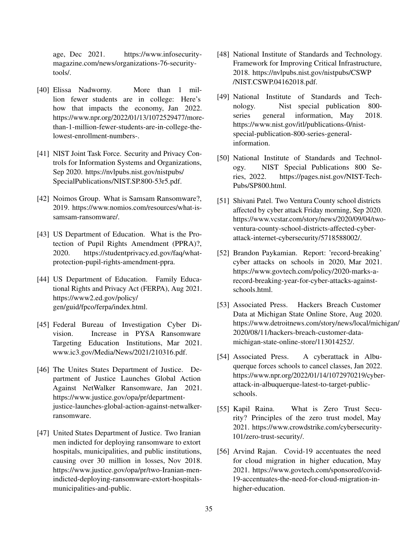age, Dec 2021. https://www.infosecuritymagazine.com/news/organizations-76-securitytools/.

- <span id="page-34-0"></span>[40] Elissa Nadworny. More than 1 million fewer students are in college: Here's how that impacts the economy, Jan 2022. https://www.npr.org/2022/01/13/1072529477/morethan-1-million-fewer-students-are-in-college-thelowest-enrollment-numbers-.
- <span id="page-34-13"></span>[41] NIST Joint Task Force. Security and Privacy Controls for Information Systems and Organizations, Sep 2020. https://nvlpubs.nist.gov/nistpubs/ SpecialPublications/NIST.SP.800-53r5.pdf.
- <span id="page-34-8"></span>[42] Noimos Group. What is Samsam Ransomware?, 2019. https://www.nomios.com/resources/what-issamsam-ransomware/.
- <span id="page-34-6"></span>[43] US Department of Education. What is the Protection of Pupil Rights Amendment (PPRA)?, 2020. https://studentprivacy.ed.gov/faq/whatprotection-pupil-rights-amendment-ppra.
- <span id="page-34-5"></span>[44] US Department of Education. Family Educational Rights and Privacy Act (FERPA), Aug 2021. https://www2.ed.gov/policy/ gen/guid/fpco/ferpa/index.html.
- <span id="page-34-7"></span>[45] Federal Bureau of Investigation Cyber Division. Increase in PYSA Ransomware Targeting Education Institutions, Mar 2021. www.ic3.gov/Media/News/2021/210316.pdf.
- <span id="page-34-10"></span>[46] The Unites States Department of Justice. Department of Justice Launches Global Action Against NetWalker Ransomware, Jan 2021. https://www.justice.gov/opa/pr/departmentjustice-launches-global-action-against-netwalkerransomware.
- <span id="page-34-9"></span>[47] United States Department of Justice. Two Iranian men indicted for deploying ransomware to extort hospitals, municipalities, and public institutions, causing over 30 million in losses, Nov 2018. https://www.justice.gov/opa/pr/two-Iranian-menindicted-deploying-ransomware-extort-hospitalsmunicipalities-and-public.
- <span id="page-34-14"></span>[48] National Institute of Standards and Technology. Framework for Improving Critical Infrastructure, 2018. https://nvlpubs.nist.gov/nistpubs/CSWP /NIST.CSWP.04162018.pdf.
- <span id="page-34-11"></span>[49] National Institute of Standards and Technology. Nist special publication 800 series general information, May 2018. https://www.nist.gov/itl/publications-0/nistspecial-publication-800-series-generalinformation.
- <span id="page-34-12"></span>[50] National Institute of Standards and Technology. NIST Special Publications 800 Series, 2022. https://pages.nist.gov/NIST-Tech-Pubs/SP800.html.
- <span id="page-34-4"></span>[51] Shivani Patel. Two Ventura County school districts affected by cyber attack Friday morning, Sep 2020. https://www.vcstar.com/story/news/2020/09/04/twoventura-county-school-districts-affected-cyberattack-internet-cybersecurity/5718588002/.
- <span id="page-34-1"></span>[52] Brandon Paykamian. Report: 'record-breaking' cyber attacks on schools in 2020, Mar 2021. https://www.govtech.com/policy/2020-marks-arecord-breaking-year-for-cyber-attacks-againstschools.html.
- <span id="page-34-2"></span>[53] Associated Press. Hackers Breach Customer Data at Michigan State Online Store, Aug 2020. https://www.detroitnews.com/story/news/local/michigan/ 2020/08/11/hackers-breach-customer-datamichigan-state-online-store/113014252/.
- <span id="page-34-3"></span>[54] Associated Press. A cyberattack in Albuquerque forces schools to cancel classes, Jan 2022. https://www.npr.org/2022/01/14/1072970219/cyberattack-in-albuquerque-latest-to-target-publicschools.
- <span id="page-34-16"></span>[55] Kapil Raina. What is Zero Trust Security? Principles of the zero trust model, May 2021. https://www.crowdstrike.com/cybersecurity-101/zero-trust-security/.
- <span id="page-34-15"></span>[56] Arvind Rajan. Covid-19 accentuates the need for cloud migration in higher education, May 2021. https://www.govtech.com/sponsored/covid-19-accentuates-the-need-for-cloud-migration-inhigher-education.